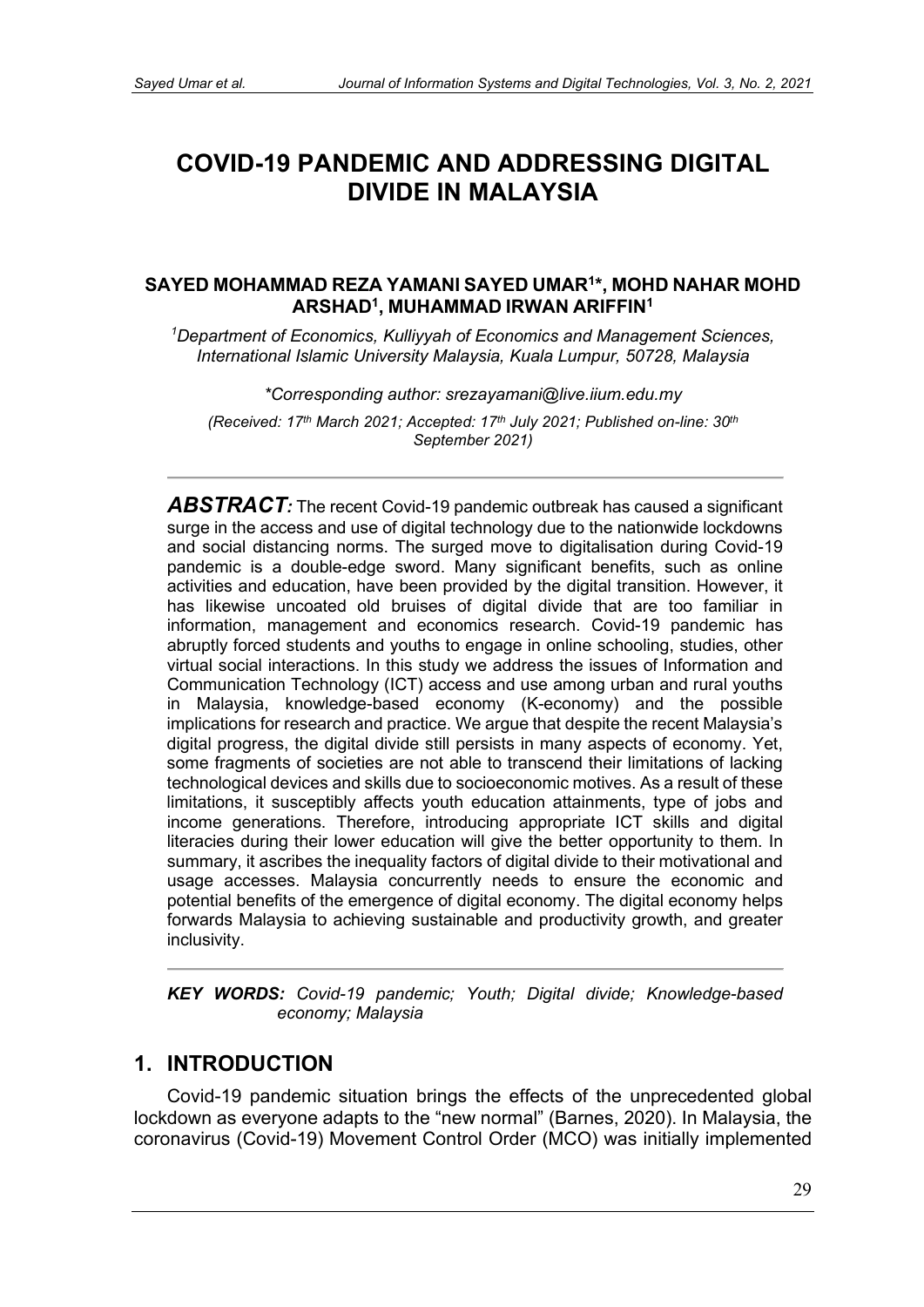# **COVID-19 PANDEMIC AND ADDRESSING DIGITAL DIVIDE IN MALAYSIA**

#### **SAYED MOHAMMAD REZA YAMANI SAYED UMAR1\*, MOHD NAHAR MOHD ARSHAD1, MUHAMMAD IRWAN ARIFFIN1**

*1 Department of Economics, Kulliyyah of Economics and Management Sciences, International Islamic University Malaysia, Kuala Lumpur, 50728, Malaysia*

*\*Corresponding author: [srezayamani@live.iium.edu.my](mailto:srezayamani@live.iium.edu.my)*

*(Received: 17th March 2021; Accepted: 17th July 2021; Published on-line: 30th September 2021)* 

ABSTRACT: The recent Covid-19 pandemic outbreak has caused a significant surge in the access and use of digital technology due to the nationwide lockdowns and social distancing norms. The surged move to digitalisation during Covid-19 pandemic is a double-edge sword. Many significant benefits, such as online activities and education, have been provided by the digital transition. However, it has likewise uncoated old bruises of digital divide that are too familiar in information, management and economics research. Covid-19 pandemic has abruptly forced students and youths to engage in online schooling, studies, other virtual social interactions. In this study we address the issues of Information and Communication Technology (ICT) access and use among urban and rural youths in Malaysia, knowledge-based economy (K-economy) and the possible implications for research and practice. We argue that despite the recent Malaysia's digital progress, the digital divide still persists in many aspects of economy. Yet, some fragments of societies are not able to transcend their limitations of lacking technological devices and skills due to socioeconomic motives. As a result of these limitations, it susceptibly affects youth education attainments, type of jobs and income generations. Therefore, introducing appropriate ICT skills and digital literacies during their lower education will give the better opportunity to them. In summary, it ascribes the inequality factors of digital divide to their motivational and usage accesses. Malaysia concurrently needs to ensure the economic and potential benefits of the emergence of digital economy. The digital economy helps forwards Malaysia to achieving sustainable and productivity growth, and greater inclusivity.

*KEY WORDS: Covid-19 pandemic; Youth; Digital divide; Knowledge-based economy; Malaysia* 

#### **1. INTRODUCTION**

Covid-19 pandemic situation brings the effects of the unprecedented global lockdown as everyone adapts to the "new normal" (Barnes, 2020). In Malaysia, the coronavirus (Covid-19) Movement Control Order (MCO) was initially implemented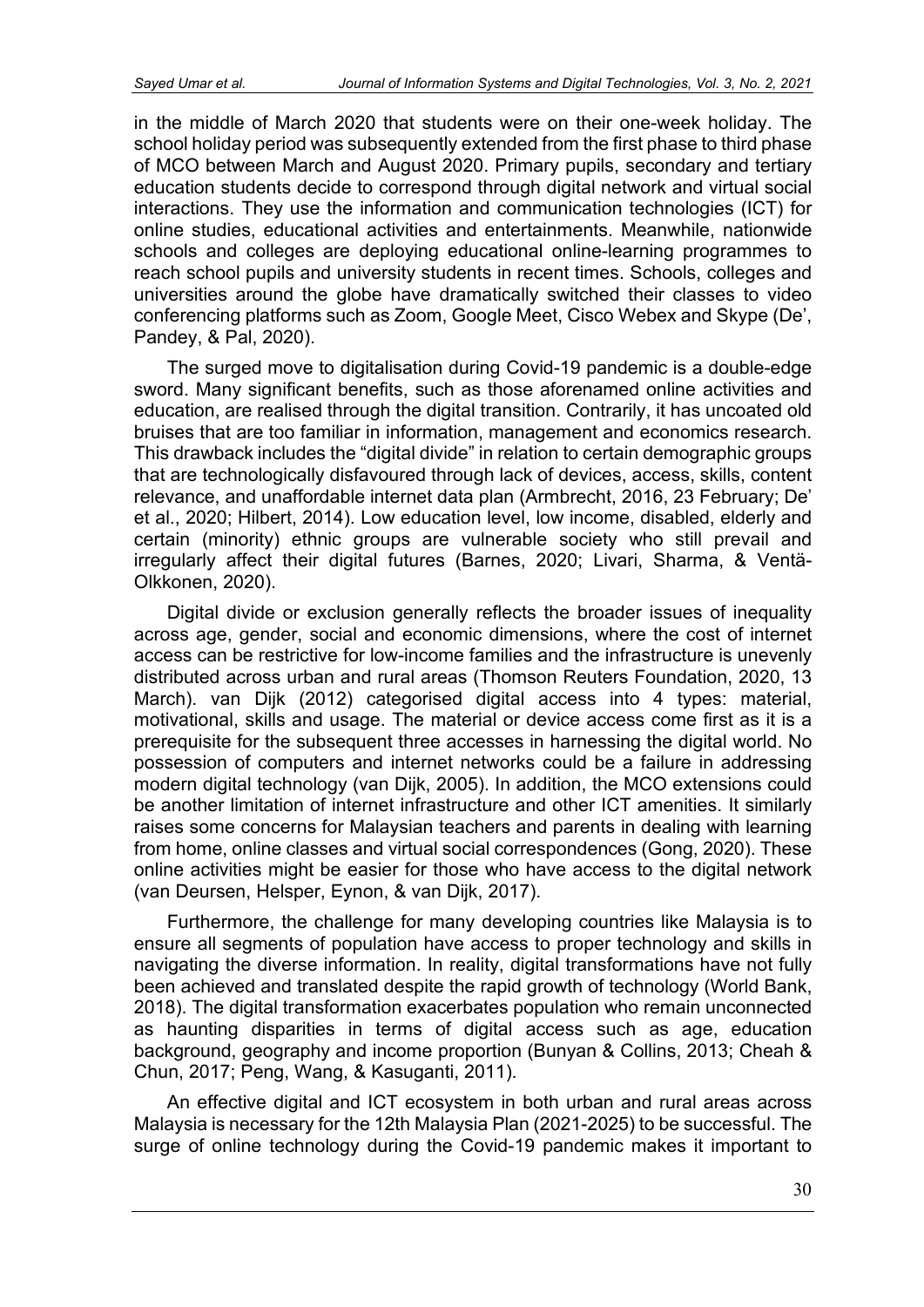in the middle of March 2020 that students were on their one-week holiday. The school holiday period was subsequently extended from the first phase to third phase of MCO between March and August 2020. Primary pupils, secondary and tertiary education students decide to correspond through digital network and virtual social interactions. They use the information and communication technologies (ICT) for online studies, educational activities and entertainments. Meanwhile, nationwide schools and colleges are deploying educational online-learning programmes to reach school pupils and university students in recent times. Schools, colleges and universities around the globe have dramatically switched their classes to video conferencing platforms such as Zoom, Google Meet, Cisco Webex and Skype (De', Pandey, & Pal, 2020).

The surged move to digitalisation during Covid-19 pandemic is a double-edge sword. Many significant benefits, such as those aforenamed online activities and education, are realised through the digital transition. Contrarily, it has uncoated old bruises that are too familiar in information, management and economics research. This drawback includes the "digital divide" in relation to certain demographic groups that are technologically disfavoured through lack of devices, access, skills, content relevance, and unaffordable internet data plan (Armbrecht, 2016, 23 February; De' et al., 2020; Hilbert, 2014). Low education level, low income, disabled, elderly and certain (minority) ethnic groups are vulnerable society who still prevail and irregularly affect their digital futures (Barnes, 2020; Livari, Sharma, & Ventä-Olkkonen, 2020).

Digital divide or exclusion generally reflects the broader issues of inequality across age, gender, social and economic dimensions, where the cost of internet access can be restrictive for low-income families and the infrastructure is unevenly distributed across urban and rural areas (Thomson Reuters Foundation, 2020, 13 March). van Dijk (2012) categorised digital access into 4 types: material, motivational, skills and usage. The material or device access come first as it is a prerequisite for the subsequent three accesses in harnessing the digital world. No possession of computers and internet networks could be a failure in addressing modern digital technology (van Dijk, 2005). In addition, the MCO extensions could be another limitation of internet infrastructure and other ICT amenities. It similarly raises some concerns for Malaysian teachers and parents in dealing with learning from home, online classes and virtual social correspondences (Gong, 2020). These online activities might be easier for those who have access to the digital network (van Deursen, Helsper, Eynon, & van Dijk, 2017).

Furthermore, the challenge for many developing countries like Malaysia is to ensure all segments of population have access to proper technology and skills in navigating the diverse information. In reality, digital transformations have not fully been achieved and translated despite the rapid growth of technology (World Bank, 2018). The digital transformation exacerbates population who remain unconnected as haunting disparities in terms of digital access such as age, education background, geography and income proportion (Bunyan & Collins, 2013; Cheah & Chun, 2017; Peng, Wang, & Kasuganti, 2011).

An effective digital and ICT ecosystem in both urban and rural areas across Malaysia is necessary for the 12th Malaysia Plan (2021-2025) to be successful. The surge of online technology during the Covid-19 pandemic makes it important to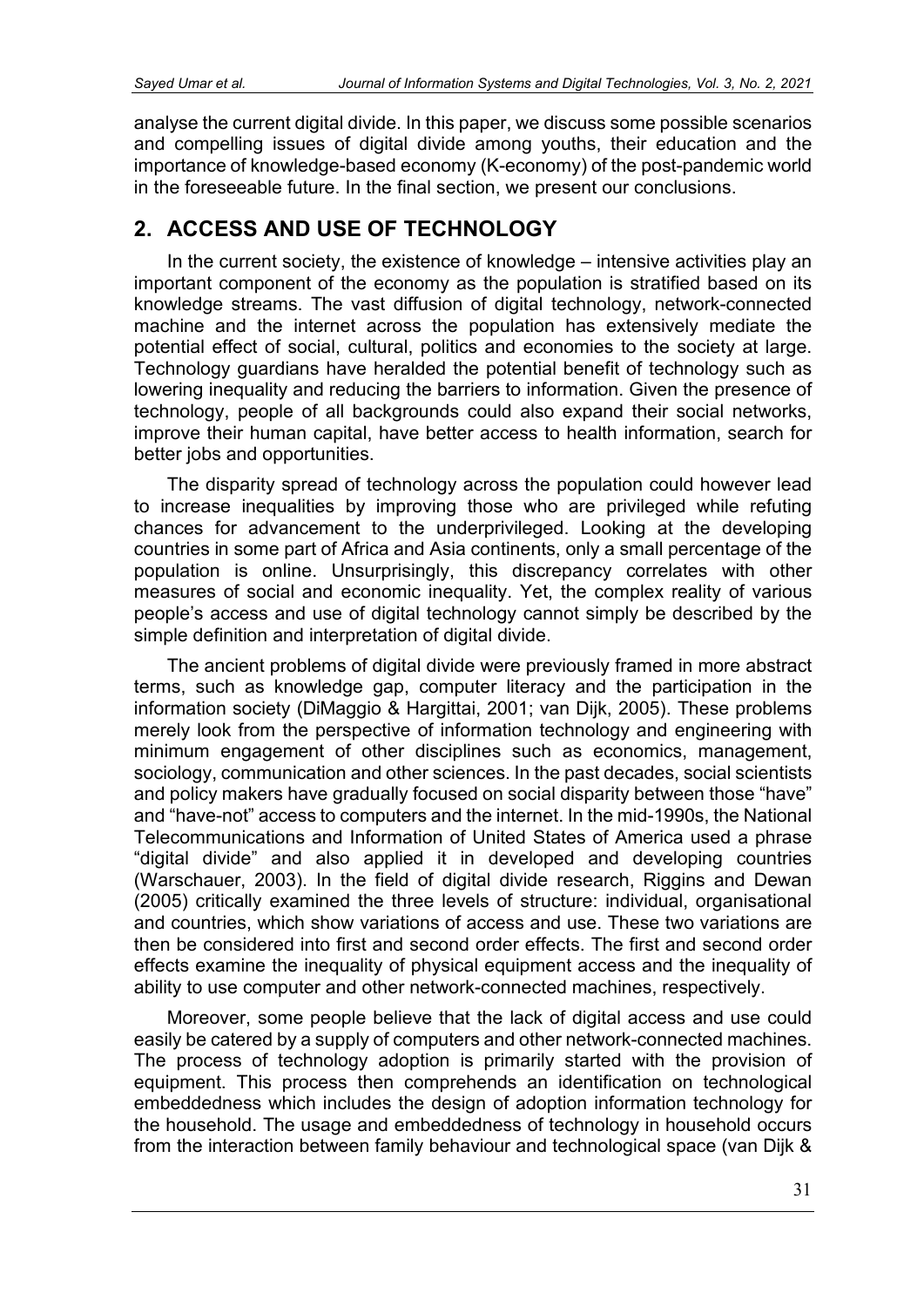analyse the current digital divide. In this paper, we discuss some possible scenarios and compelling issues of digital divide among youths, their education and the importance of knowledge-based economy (K-economy) of the post-pandemic world in the foreseeable future. In the final section, we present our conclusions.

# **2. ACCESS AND USE OF TECHNOLOGY**

In the current society, the existence of knowledge – intensive activities play an important component of the economy as the population is stratified based on its knowledge streams. The vast diffusion of digital technology, network-connected machine and the internet across the population has extensively mediate the potential effect of social, cultural, politics and economies to the society at large. Technology guardians have heralded the potential benefit of technology such as lowering inequality and reducing the barriers to information. Given the presence of technology, people of all backgrounds could also expand their social networks, improve their human capital, have better access to health information, search for better jobs and opportunities.

The disparity spread of technology across the population could however lead to increase inequalities by improving those who are privileged while refuting chances for advancement to the underprivileged. Looking at the developing countries in some part of Africa and Asia continents, only a small percentage of the population is online. Unsurprisingly, this discrepancy correlates with other measures of social and economic inequality. Yet, the complex reality of various people's access and use of digital technology cannot simply be described by the simple definition and interpretation of digital divide.

The ancient problems of digital divide were previously framed in more abstract terms, such as knowledge gap, computer literacy and the participation in the information society (DiMaggio & Hargittai, 2001; van Dijk, 2005). These problems merely look from the perspective of information technology and engineering with minimum engagement of other disciplines such as economics, management, sociology, communication and other sciences. In the past decades, social scientists and policy makers have gradually focused on social disparity between those "have" and "have-not" access to computers and the internet. In the mid-1990s, the National Telecommunications and Information of United States of America used a phrase "digital divide" and also applied it in developed and developing countries (Warschauer, 2003). In the field of digital divide research, Riggins and Dewan (2005) critically examined the three levels of structure: individual, organisational and countries, which show variations of access and use. These two variations are then be considered into first and second order effects. The first and second order effects examine the inequality of physical equipment access and the inequality of ability to use computer and other network-connected machines, respectively.

Moreover, some people believe that the lack of digital access and use could easily be catered by a supply of computers and other network-connected machines. The process of technology adoption is primarily started with the provision of equipment. This process then comprehends an identification on technological embeddedness which includes the design of adoption information technology for the household. The usage and embeddedness of technology in household occurs from the interaction between family behaviour and technological space (van Dijk &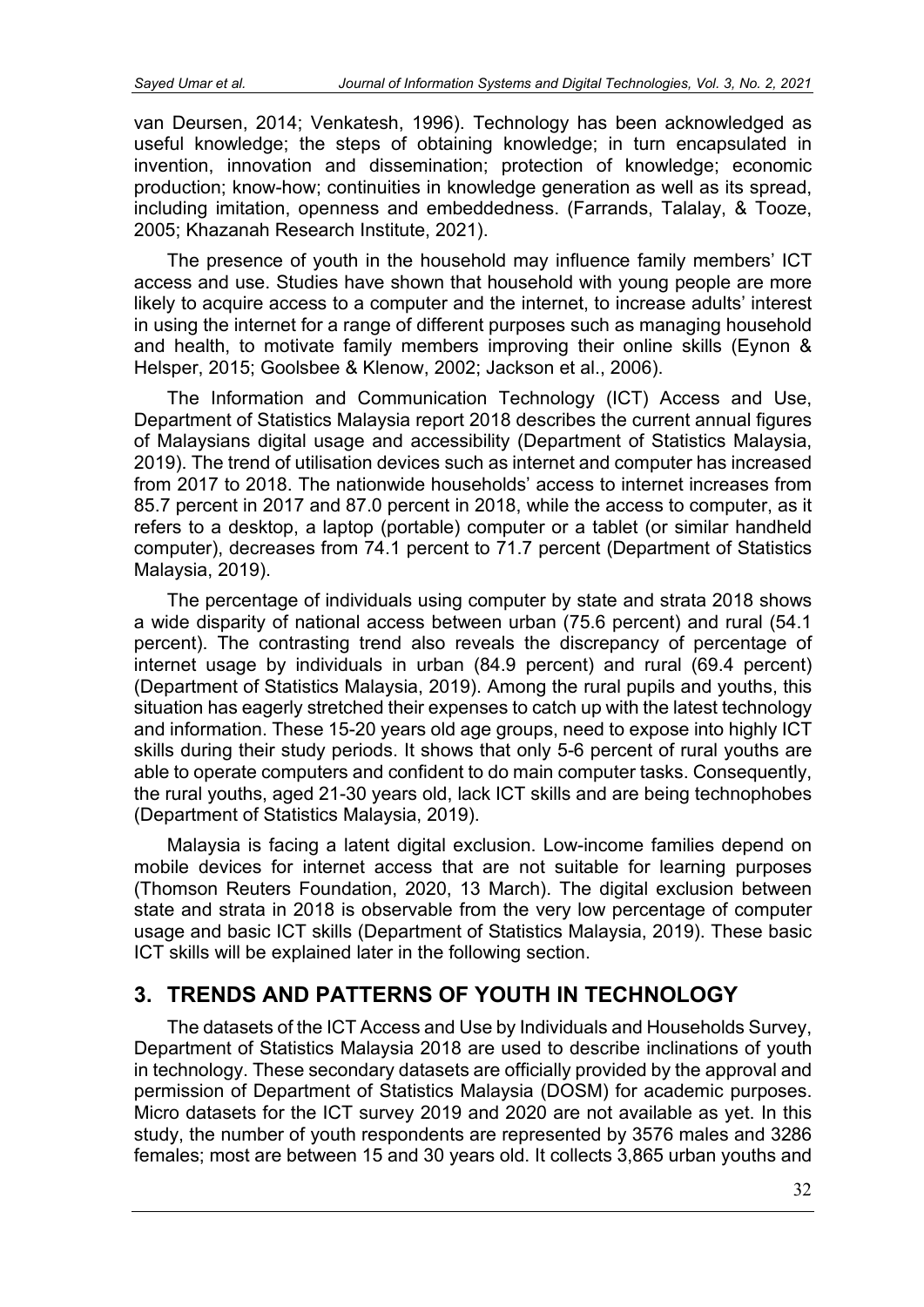van Deursen, 2014; Venkatesh, 1996). Technology has been acknowledged as useful knowledge; the steps of obtaining knowledge; in turn encapsulated in invention, innovation and dissemination; protection of knowledge; economic production; know-how; continuities in knowledge generation as well as its spread, including imitation, openness and embeddedness. (Farrands, Talalay, & Tooze, 2005; Khazanah Research Institute, 2021).

The presence of youth in the household may influence family members' ICT access and use. Studies have shown that household with young people are more likely to acquire access to a computer and the internet, to increase adults' interest in using the internet for a range of different purposes such as managing household and health, to motivate family members improving their online skills (Eynon & Helsper, 2015; Goolsbee & Klenow, 2002; Jackson et al., 2006).

The Information and Communication Technology (ICT) Access and Use, Department of Statistics Malaysia report 2018 describes the current annual figures of Malaysians digital usage and accessibility (Department of Statistics Malaysia, 2019). The trend of utilisation devices such as internet and computer has increased from 2017 to 2018. The nationwide households' access to internet increases from 85.7 percent in 2017 and 87.0 percent in 2018, while the access to computer, as it refers to a desktop, a laptop (portable) computer or a tablet (or similar handheld computer), decreases from 74.1 percent to 71.7 percent (Department of Statistics Malaysia, 2019).

The percentage of individuals using computer by state and strata 2018 shows a wide disparity of national access between urban (75.6 percent) and rural (54.1 percent). The contrasting trend also reveals the discrepancy of percentage of internet usage by individuals in urban (84.9 percent) and rural (69.4 percent) (Department of Statistics Malaysia, 2019). Among the rural pupils and youths, this situation has eagerly stretched their expenses to catch up with the latest technology and information. These 15-20 years old age groups, need to expose into highly ICT skills during their study periods. It shows that only 5-6 percent of rural youths are able to operate computers and confident to do main computer tasks. Consequently, the rural youths, aged 21-30 years old, lack ICT skills and are being technophobes (Department of Statistics Malaysia, 2019).

Malaysia is facing a latent digital exclusion. Low-income families depend on mobile devices for internet access that are not suitable for learning purposes (Thomson Reuters Foundation, 2020, 13 March). The digital exclusion between state and strata in 2018 is observable from the very low percentage of computer usage and basic ICT skills (Department of Statistics Malaysia, 2019). These basic ICT skills will be explained later in the following section.

# **3. TRENDS AND PATTERNS OF YOUTH IN TECHNOLOGY**

The datasets of the ICT Access and Use by Individuals and Households Survey, Department of Statistics Malaysia 2018 are used to describe inclinations of youth in technology. These secondary datasets are officially provided by the approval and permission of Department of Statistics Malaysia (DOSM) for academic purposes. Micro datasets for the ICT survey 2019 and 2020 are not available as yet. In this study, the number of youth respondents are represented by 3576 males and 3286 females; most are between 15 and 30 years old. It collects 3,865 urban youths and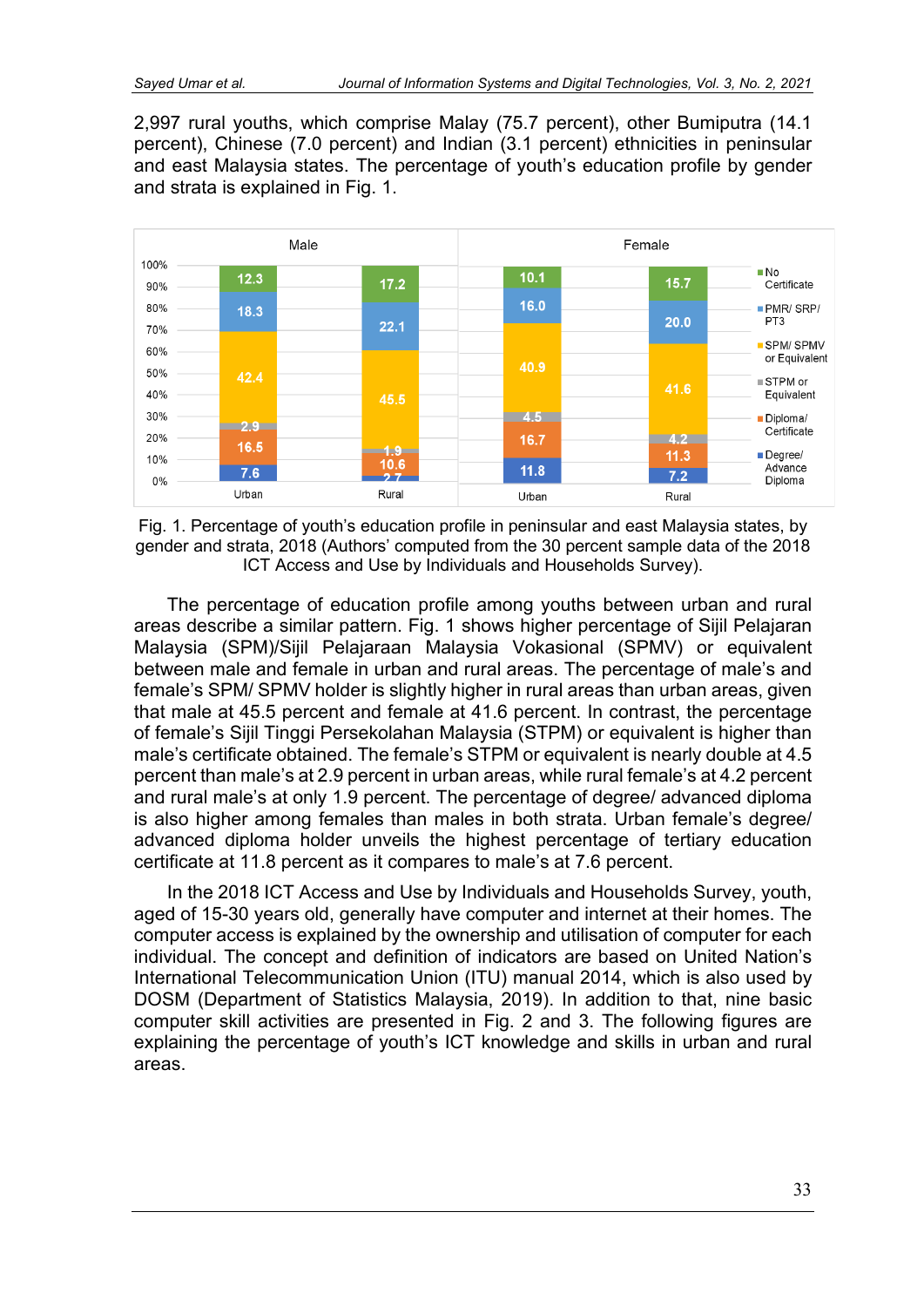2,997 rural youths, which comprise Malay (75.7 percent), other Bumiputra (14.1 percent), Chinese (7.0 percent) and Indian (3.1 percent) ethnicities in peninsular and east Malaysia states. The percentage of youth's education profile by gender and strata is explained in Fig. 1.



Fig. 1. Percentage of youth's education profile in peninsular and east Malaysia states, by gender and strata, 2018 (Authors' computed from the 30 percent sample data of the 2018 ICT Access and Use by Individuals and Households Survey).

The percentage of education profile among youths between urban and rural areas describe a similar pattern. Fig. 1 shows higher percentage of Sijil Pelajaran Malaysia (SPM)/Sijil Pelajaraan Malaysia Vokasional (SPMV) or equivalent between male and female in urban and rural areas. The percentage of male's and female's SPM/ SPMV holder is slightly higher in rural areas than urban areas, given that male at 45.5 percent and female at 41.6 percent. In contrast, the percentage of female's Sijil Tinggi Persekolahan Malaysia (STPM) or equivalent is higher than male's certificate obtained. The female's STPM or equivalent is nearly double at 4.5 percent than male's at 2.9 percent in urban areas, while rural female's at 4.2 percent and rural male's at only 1.9 percent. The percentage of degree/ advanced diploma is also higher among females than males in both strata. Urban female's degree/ advanced diploma holder unveils the highest percentage of tertiary education certificate at 11.8 percent as it compares to male's at 7.6 percent.

In the 2018 ICT Access and Use by Individuals and Households Survey, youth, aged of 15-30 years old, generally have computer and internet at their homes. The computer access is explained by the ownership and utilisation of computer for each individual. The concept and definition of indicators are based on United Nation's International Telecommunication Union (ITU) manual 2014, which is also used by DOSM (Department of Statistics Malaysia, 2019). In addition to that, nine basic computer skill activities are presented in Fig. 2 and 3. The following figures are explaining the percentage of youth's ICT knowledge and skills in urban and rural areas.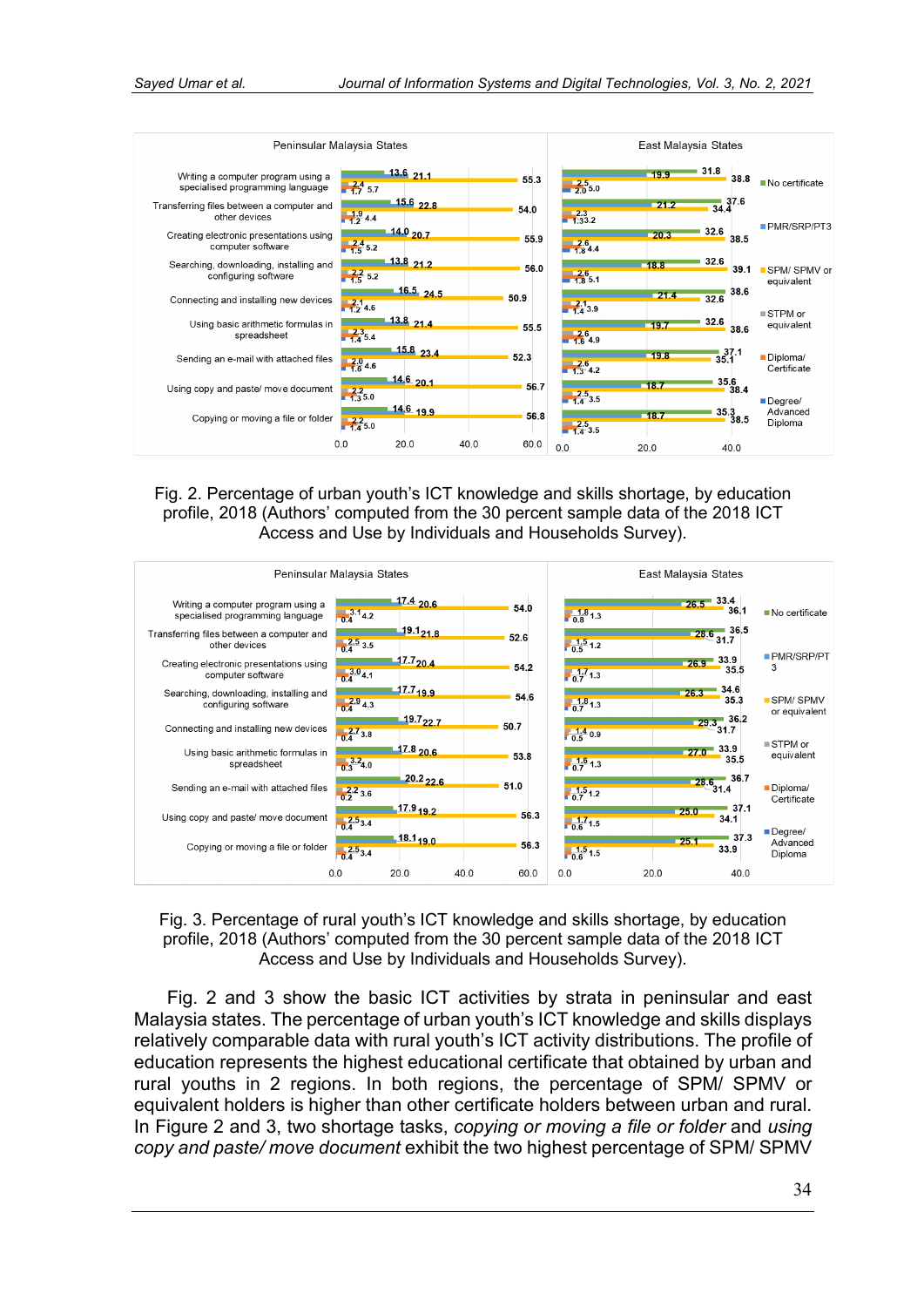

Fig. 2. Percentage of urban youth's ICT knowledge and skills shortage, by education profile, 2018 (Authors' computed from the 30 percent sample data of the 2018 ICT Access and Use by Individuals and Households Survey).



Fig. 3. Percentage of rural youth's ICT knowledge and skills shortage, by education profile, 2018 (Authors' computed from the 30 percent sample data of the 2018 ICT Access and Use by Individuals and Households Survey).

Fig. 2 and 3 show the basic ICT activities by strata in peninsular and east Malaysia states. The percentage of urban youth's ICT knowledge and skills displays relatively comparable data with rural youth's ICT activity distributions. The profile of education represents the highest educational certificate that obtained by urban and rural youths in 2 regions. In both regions, the percentage of SPM/ SPMV or equivalent holders is higher than other certificate holders between urban and rural. In Figure 2 and 3, two shortage tasks, *copying or moving a file or folder* and *using copy and paste/ move document* exhibit the two highest percentage of SPM/ SPMV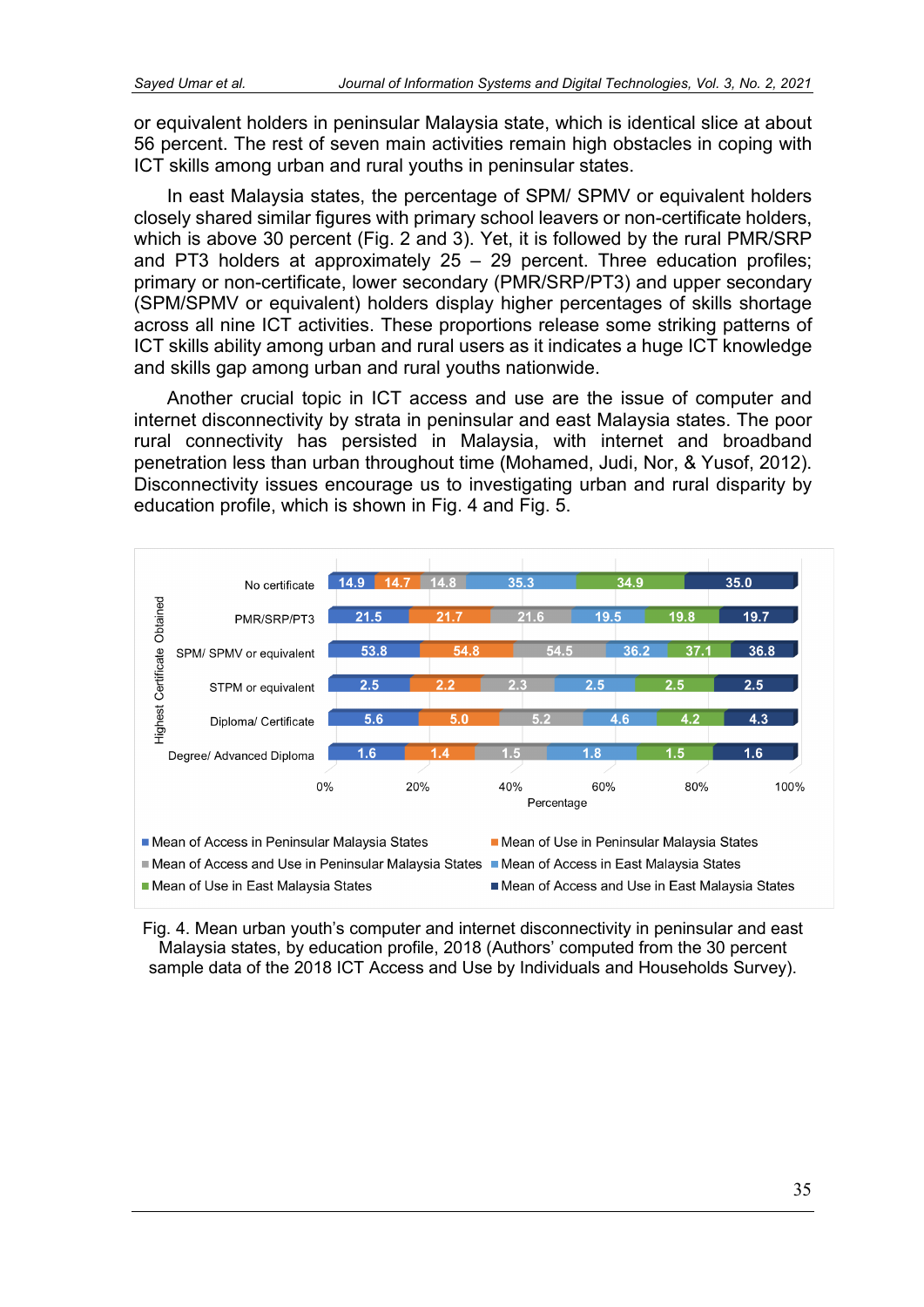or equivalent holders in peninsular Malaysia state, which is identical slice at about 56 percent. The rest of seven main activities remain high obstacles in coping with ICT skills among urban and rural youths in peninsular states.

In east Malaysia states, the percentage of SPM/ SPMV or equivalent holders closely shared similar figures with primary school leavers or non-certificate holders, which is above 30 percent (Fig. 2 and 3). Yet, it is followed by the rural PMR/SRP and PT3 holders at approximately  $25 - 29$  percent. Three education profiles; primary or non-certificate, lower secondary (PMR/SRP/PT3) and upper secondary (SPM/SPMV or equivalent) holders display higher percentages of skills shortage across all nine ICT activities. These proportions release some striking patterns of ICT skills ability among urban and rural users as it indicates a huge ICT knowledge and skills gap among urban and rural youths nationwide.

Another crucial topic in ICT access and use are the issue of computer and internet disconnectivity by strata in peninsular and east Malaysia states. The poor rural connectivity has persisted in Malaysia, with internet and broadband penetration less than urban throughout time (Mohamed, Judi, Nor, & Yusof, 2012). Disconnectivity issues encourage us to investigating urban and rural disparity by education profile, which is shown in Fig. 4 and Fig. 5.



Fig. 4. Mean urban youth's computer and internet disconnectivity in peninsular and east Malaysia states, by education profile, 2018 (Authors' computed from the 30 percent sample data of the 2018 ICT Access and Use by Individuals and Households Survey).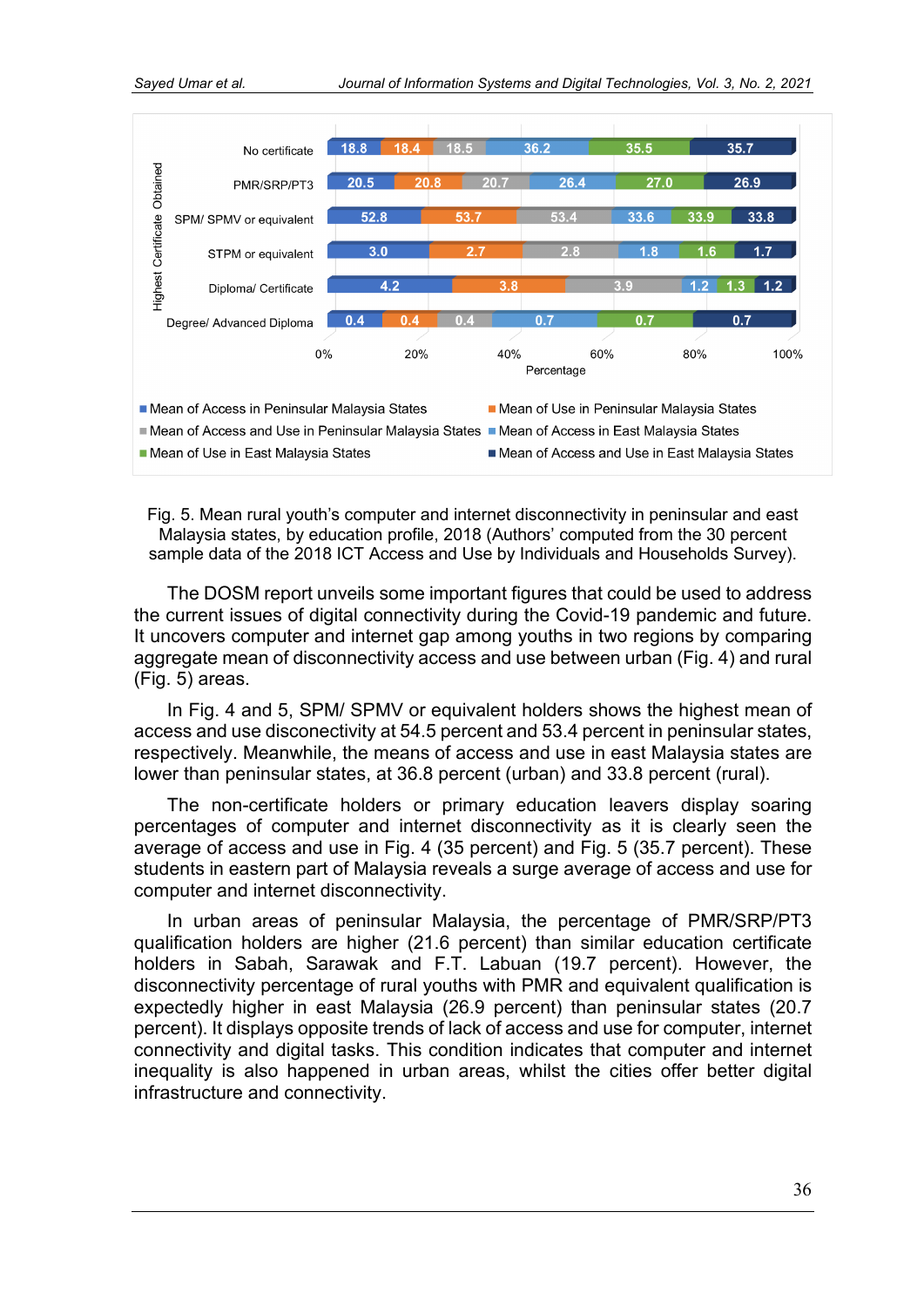

Fig. 5. Mean rural youth's computer and internet disconnectivity in peninsular and east Malaysia states, by education profile, 2018 (Authors' computed from the 30 percent sample data of the 2018 ICT Access and Use by Individuals and Households Survey).

The DOSM report unveils some important figures that could be used to address the current issues of digital connectivity during the Covid-19 pandemic and future. It uncovers computer and internet gap among youths in two regions by comparing aggregate mean of disconnectivity access and use between urban (Fig. 4) and rural (Fig. 5) areas.

In Fig. 4 and 5, SPM/ SPMV or equivalent holders shows the highest mean of access and use disconectivity at 54.5 percent and 53.4 percent in peninsular states, respectively. Meanwhile, the means of access and use in east Malaysia states are lower than peninsular states, at 36.8 percent (urban) and 33.8 percent (rural).

The non-certificate holders or primary education leavers display soaring percentages of computer and internet disconnectivity as it is clearly seen the average of access and use in Fig. 4 (35 percent) and Fig. 5 (35.7 percent). These students in eastern part of Malaysia reveals a surge average of access and use for computer and internet disconnectivity.

In urban areas of peninsular Malaysia, the percentage of PMR/SRP/PT3 qualification holders are higher (21.6 percent) than similar education certificate holders in Sabah, Sarawak and F.T. Labuan (19.7 percent). However, the disconnectivity percentage of rural youths with PMR and equivalent qualification is expectedly higher in east Malaysia (26.9 percent) than peninsular states (20.7 percent). It displays opposite trends of lack of access and use for computer, internet connectivity and digital tasks. This condition indicates that computer and internet inequality is also happened in urban areas, whilst the cities offer better digital infrastructure and connectivity.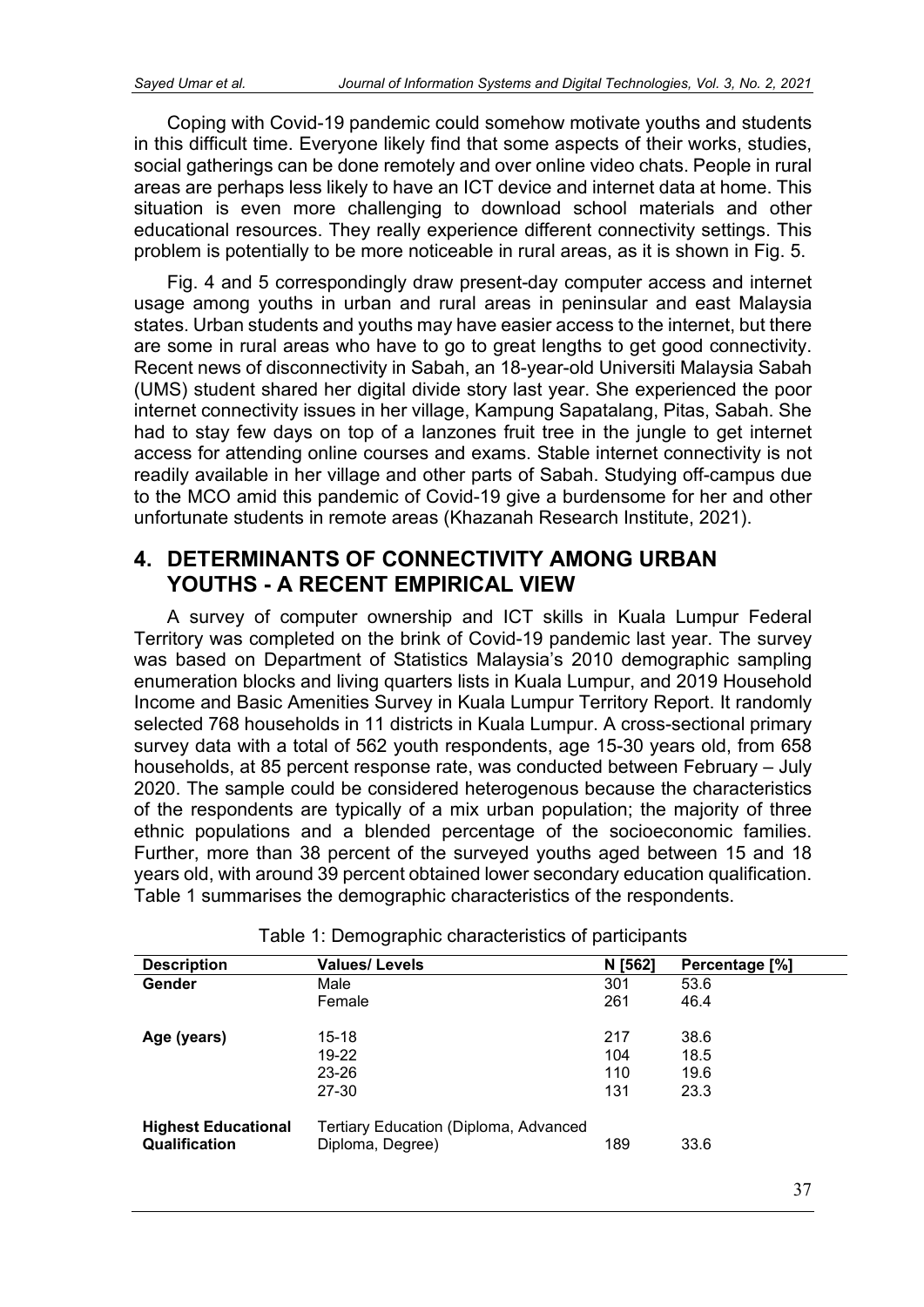Coping with Covid-19 pandemic could somehow motivate youths and students in this difficult time. Everyone likely find that some aspects of their works, studies, social gatherings can be done remotely and over online video chats. People in rural areas are perhaps less likely to have an ICT device and internet data at home. This situation is even more challenging to download school materials and other educational resources. They really experience different connectivity settings. This problem is potentially to be more noticeable in rural areas, as it is shown in Fig. 5.

Fig. 4 and 5 correspondingly draw present-day computer access and internet usage among youths in urban and rural areas in peninsular and east Malaysia states. Urban students and youths may have easier access to the internet, but there are some in rural areas who have to go to great lengths to get good connectivity. Recent news of disconnectivity in Sabah, an 18-year-old Universiti Malaysia Sabah (UMS) student shared her digital divide story last year. She experienced the poor internet connectivity issues in her village, Kampung Sapatalang, Pitas, Sabah. She had to stay few days on top of a lanzones fruit tree in the jungle to get internet access for attending online courses and exams. Stable internet connectivity is not readily available in her village and other parts of Sabah. Studying off-campus due to the MCO amid this pandemic of Covid-19 give a burdensome for her and other unfortunate students in remote areas (Khazanah Research Institute, 2021).

#### **4. DETERMINANTS OF CONNECTIVITY AMONG URBAN YOUTHS - A RECENT EMPIRICAL VIEW**

A survey of computer ownership and ICT skills in Kuala Lumpur Federal Territory was completed on the brink of Covid-19 pandemic last year. The survey was based on Department of Statistics Malaysia's 2010 demographic sampling enumeration blocks and living quarters lists in Kuala Lumpur, and 2019 Household Income and Basic Amenities Survey in Kuala Lumpur Territory Report. It randomly selected 768 households in 11 districts in Kuala Lumpur. A cross-sectional primary survey data with a total of 562 youth respondents, age 15-30 years old, from 658 households, at 85 percent response rate, was conducted between February – July 2020. The sample could be considered heterogenous because the characteristics of the respondents are typically of a mix urban population; the majority of three ethnic populations and a blended percentage of the socioeconomic families. Further, more than 38 percent of the surveyed youths aged between 15 and 18 years old, with around 39 percent obtained lower secondary education qualification. Table 1 summarises the demographic characteristics of the respondents.

| <b>Description</b>         | <b>Values/Levels</b>                         | N [562] | Percentage [%] |
|----------------------------|----------------------------------------------|---------|----------------|
|                            |                                              |         |                |
| Gender                     | Male                                         | 301     | 53.6           |
|                            | Female                                       | 261     | 46.4           |
| Age (years)                | 15-18                                        | 217     | 38.6           |
|                            | 19-22                                        | 104     | 18.5           |
|                            | 23-26                                        | 110     | 19.6           |
|                            | 27-30                                        | 131     | 23.3           |
| <b>Highest Educational</b> | <b>Tertiary Education (Diploma, Advanced</b> |         |                |
| Qualification              | Diploma, Degree)                             | 189     | 33.6           |

Table 1: Demographic characteristics of participants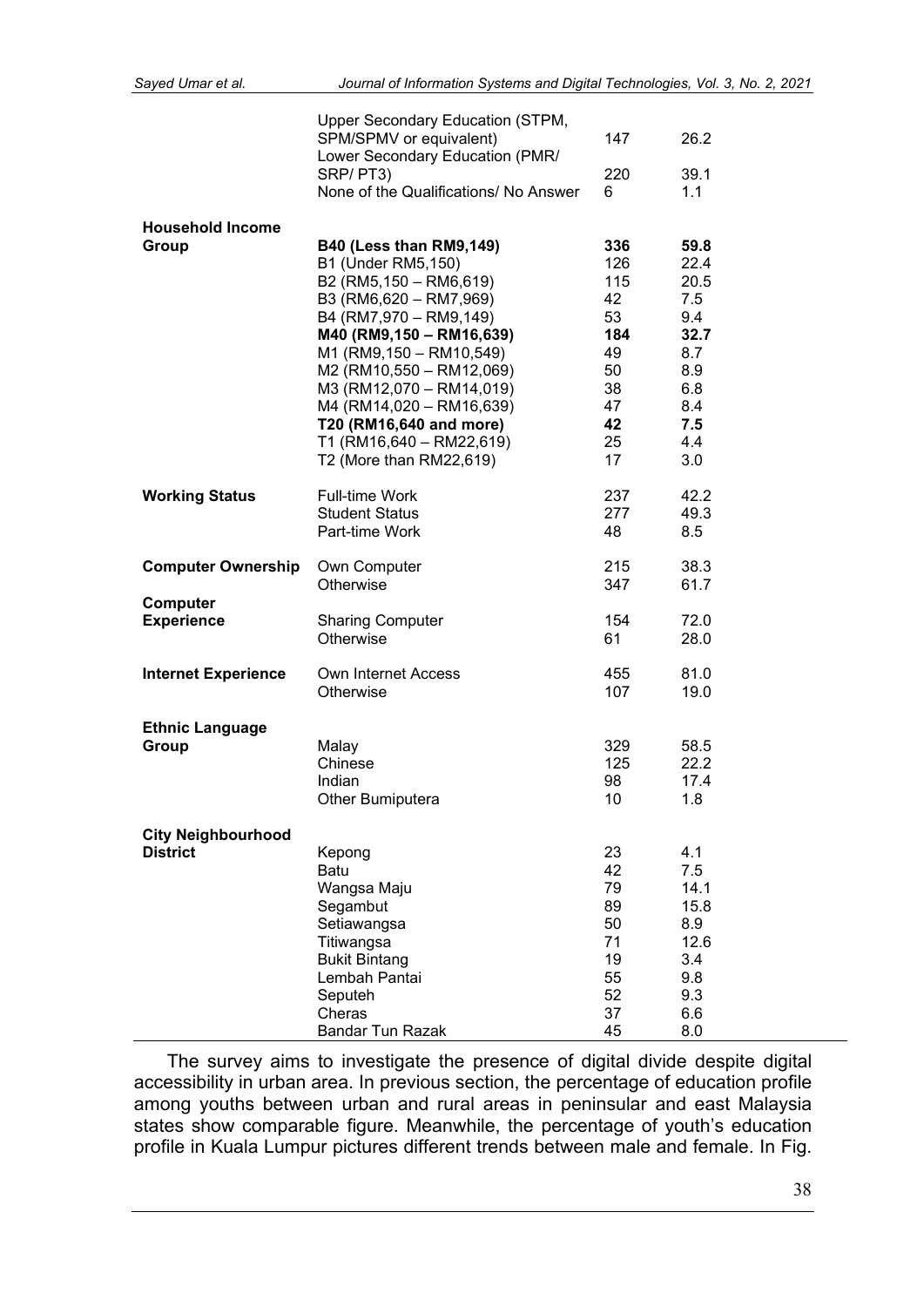|                            | Upper Secondary Education (STPM,<br>SPM/SPMV or equivalent)<br>Lower Secondary Education (PMR/ | 147 | 26.2 |  |
|----------------------------|------------------------------------------------------------------------------------------------|-----|------|--|
|                            | SRP/PT3)                                                                                       | 220 | 39.1 |  |
|                            | None of the Qualifications/ No Answer                                                          | 6   | 1.1  |  |
|                            |                                                                                                |     |      |  |
| <b>Household Income</b>    |                                                                                                |     |      |  |
| Group                      | <b>B40 (Less than RM9,149)</b>                                                                 | 336 | 59.8 |  |
|                            | B1 (Under RM5,150)                                                                             | 126 | 22.4 |  |
|                            | B2 (RM5,150 - RM6,619)                                                                         | 115 | 20.5 |  |
|                            | B3 (RM6,620 - RM7,969)                                                                         | 42  | 7.5  |  |
|                            | B4 (RM7,970 - RM9,149)                                                                         | 53  | 9.4  |  |
|                            | M40 (RM9,150 - RM16,639)                                                                       | 184 | 32.7 |  |
|                            | M1 (RM9,150 - RM10,549)                                                                        | 49  | 8.7  |  |
|                            | M2 (RM10,550 - RM12,069)                                                                       | 50  | 8.9  |  |
|                            | M3 (RM12,070 - RM14,019)                                                                       | 38  | 6.8  |  |
|                            | M4 (RM14,020 - RM16,639)                                                                       | 47  | 8.4  |  |
|                            | T20 (RM16,640 and more)                                                                        | 42  | 7.5  |  |
|                            | T1 (RM16,640 - RM22,619)                                                                       | 25  | 4.4  |  |
|                            | T2 (More than RM22,619)                                                                        | 17  | 3.0  |  |
| <b>Working Status</b>      | <b>Full-time Work</b>                                                                          | 237 | 42.2 |  |
|                            | <b>Student Status</b>                                                                          | 277 | 49.3 |  |
|                            | Part-time Work                                                                                 | 48  | 8.5  |  |
|                            |                                                                                                |     |      |  |
| <b>Computer Ownership</b>  | Own Computer                                                                                   | 215 | 38.3 |  |
|                            | Otherwise                                                                                      | 347 | 61.7 |  |
| Computer                   |                                                                                                |     |      |  |
| <b>Experience</b>          | <b>Sharing Computer</b>                                                                        | 154 | 72.0 |  |
|                            | Otherwise                                                                                      | 61  | 28.0 |  |
| <b>Internet Experience</b> | Own Internet Access                                                                            | 455 | 81.0 |  |
|                            | Otherwise                                                                                      | 107 | 19.0 |  |
|                            |                                                                                                |     |      |  |
| <b>Ethnic Language</b>     |                                                                                                |     |      |  |
| Group                      | Malay                                                                                          | 329 | 58.5 |  |
|                            | Chinese                                                                                        | 125 | 22.2 |  |
|                            | Indian                                                                                         | 98  | 17.4 |  |
|                            | Other Bumiputera                                                                               | 10  | 1.8  |  |
| <b>City Neighbourhood</b>  |                                                                                                |     |      |  |
| <b>District</b>            | Kepong                                                                                         | 23  | 4.1  |  |
|                            | Batu                                                                                           | 42  | 7.5  |  |
|                            | Wangsa Maju                                                                                    | 79  | 14.1 |  |
|                            | Segambut                                                                                       | 89  | 15.8 |  |
|                            | Setiawangsa                                                                                    | 50  | 8.9  |  |
|                            | Titiwangsa                                                                                     | 71  | 12.6 |  |
|                            | <b>Bukit Bintang</b>                                                                           | 19  | 3.4  |  |
|                            | Lembah Pantai                                                                                  | 55  | 9.8  |  |
|                            | Seputeh                                                                                        | 52  | 9.3  |  |
|                            | Cheras                                                                                         | 37  | 6.6  |  |
|                            | <b>Bandar Tun Razak</b>                                                                        | 45  | 8.0  |  |

The survey aims to investigate the presence of digital divide despite digital accessibility in urban area. In previous section, the percentage of education profile among youths between urban and rural areas in peninsular and east Malaysia states show comparable figure. Meanwhile, the percentage of youth's education profile in Kuala Lumpur pictures different trends between male and female. In Fig.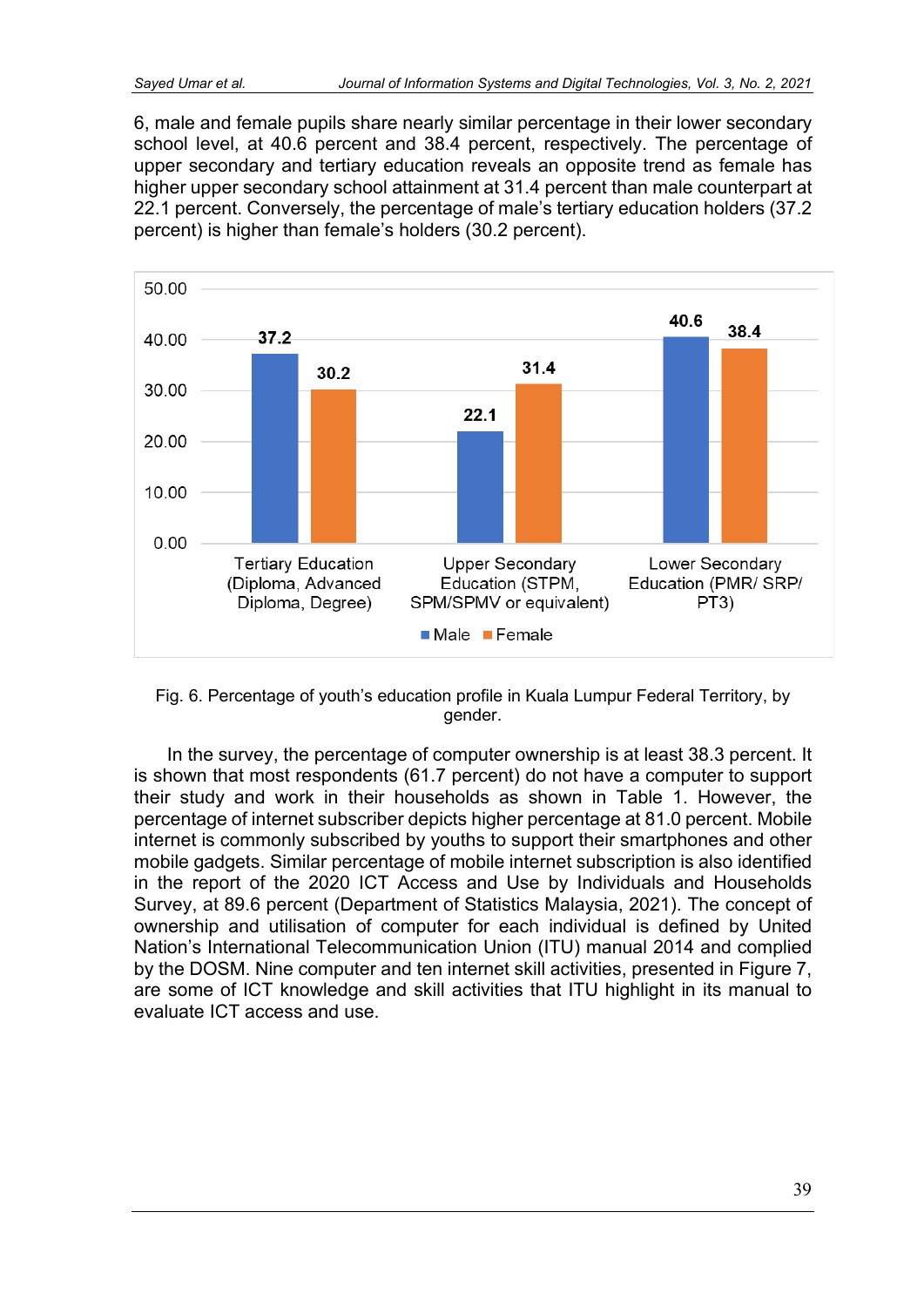6, male and female pupils share nearly similar percentage in their lower secondary school level, at 40.6 percent and 38.4 percent, respectively. The percentage of upper secondary and tertiary education reveals an opposite trend as female has higher upper secondary school attainment at 31.4 percent than male counterpart at 22.1 percent. Conversely, the percentage of male's tertiary education holders (37.2 percent) is higher than female's holders (30.2 percent).



Fig. 6. Percentage of youth's education profile in Kuala Lumpur Federal Territory, by gender.

In the survey, the percentage of computer ownership is at least 38.3 percent. It is shown that most respondents (61.7 percent) do not have a computer to support their study and work in their households as shown in Table 1. However, the percentage of internet subscriber depicts higher percentage at 81.0 percent. Mobile internet is commonly subscribed by youths to support their smartphones and other mobile gadgets. Similar percentage of mobile internet subscription is also identified in the report of the 2020 ICT Access and Use by Individuals and Households Survey, at 89.6 percent (Department of Statistics Malaysia, 2021). The concept of ownership and utilisation of computer for each individual is defined by United Nation's International Telecommunication Union (ITU) manual 2014 and complied by the DOSM. Nine computer and ten internet skill activities, presented in Figure 7, are some of ICT knowledge and skill activities that ITU highlight in its manual to evaluate ICT access and use.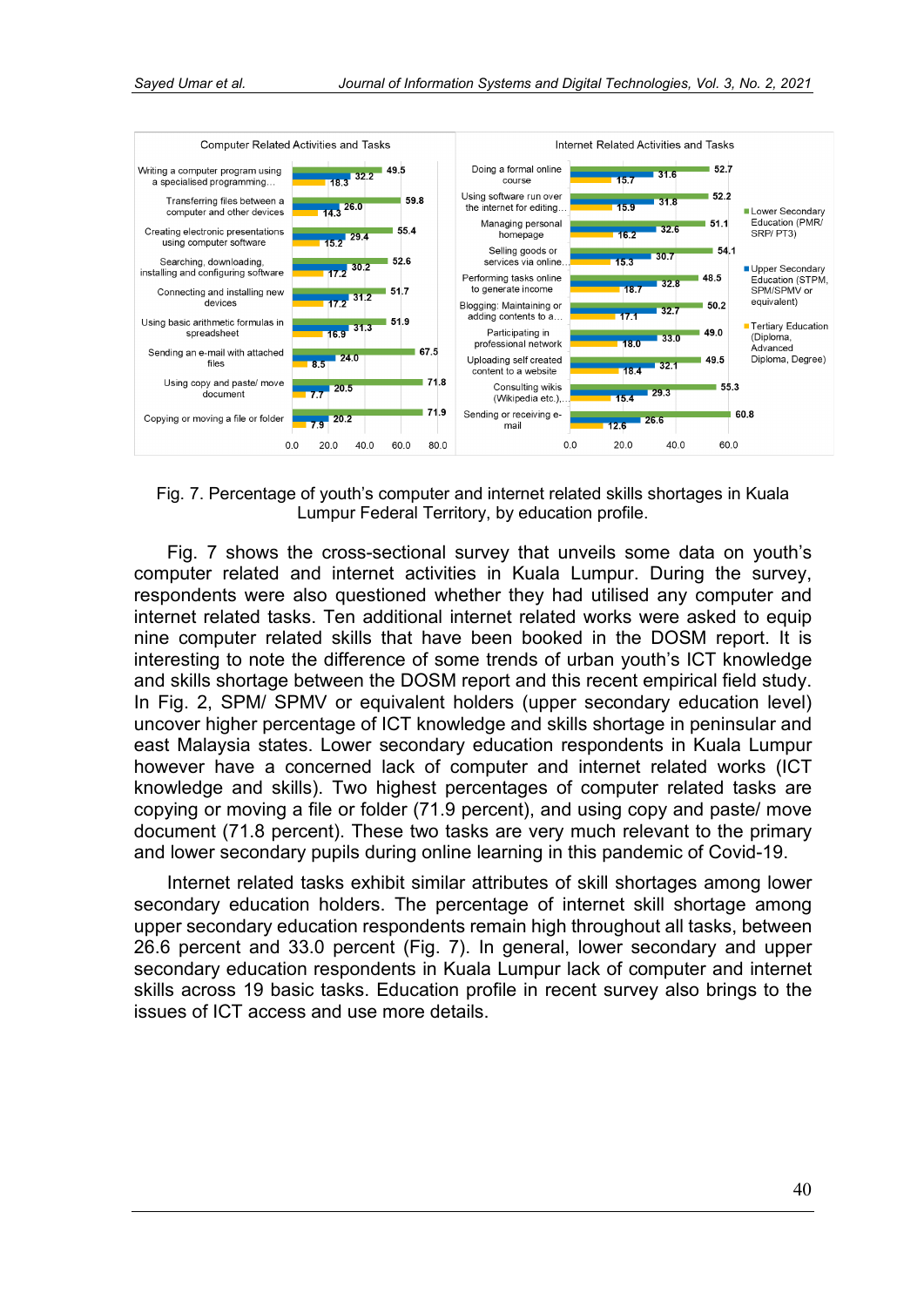![](_page_11_Figure_2.jpeg)

Fig. 7. Percentage of youth's computer and internet related skills shortages in Kuala Lumpur Federal Territory, by education profile.

Fig. 7 shows the cross-sectional survey that unveils some data on youth's computer related and internet activities in Kuala Lumpur. During the survey, respondents were also questioned whether they had utilised any computer and internet related tasks. Ten additional internet related works were asked to equip nine computer related skills that have been booked in the DOSM report. It is interesting to note the difference of some trends of urban youth's ICT knowledge and skills shortage between the DOSM report and this recent empirical field study. In Fig. 2, SPM/ SPMV or equivalent holders (upper secondary education level) uncover higher percentage of ICT knowledge and skills shortage in peninsular and east Malaysia states. Lower secondary education respondents in Kuala Lumpur however have a concerned lack of computer and internet related works (ICT knowledge and skills). Two highest percentages of computer related tasks are copying or moving a file or folder (71.9 percent), and using copy and paste/ move document (71.8 percent). These two tasks are very much relevant to the primary and lower secondary pupils during online learning in this pandemic of Covid-19.

Internet related tasks exhibit similar attributes of skill shortages among lower secondary education holders. The percentage of internet skill shortage among upper secondary education respondents remain high throughout all tasks, between 26.6 percent and 33.0 percent (Fig. 7). In general, lower secondary and upper secondary education respondents in Kuala Lumpur lack of computer and internet skills across 19 basic tasks. Education profile in recent survey also brings to the issues of ICT access and use more details.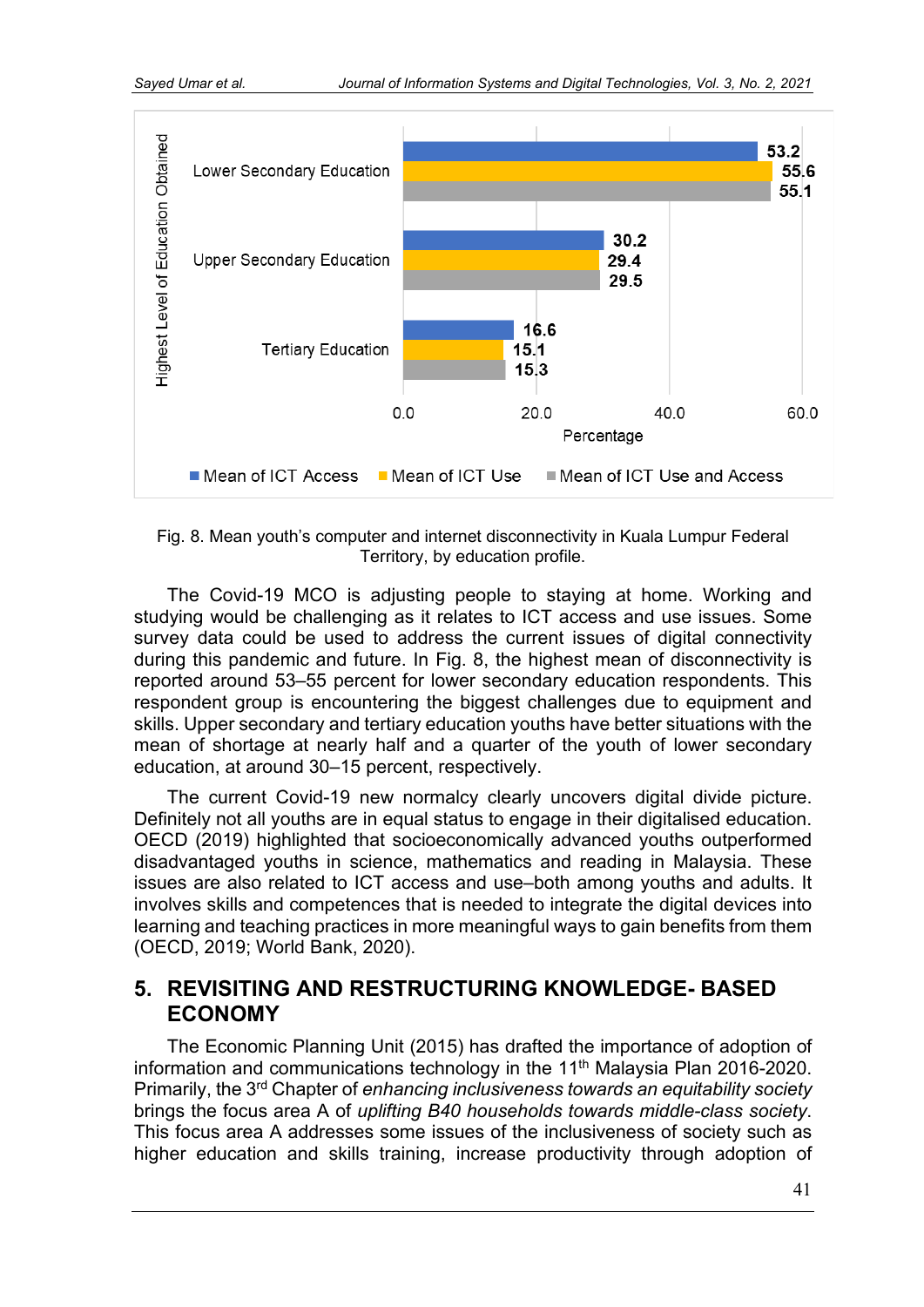![](_page_12_Figure_2.jpeg)

Fig. 8. Mean youth's computer and internet disconnectivity in Kuala Lumpur Federal Territory, by education profile.

The Covid-19 MCO is adjusting people to staying at home. Working and studying would be challenging as it relates to ICT access and use issues. Some survey data could be used to address the current issues of digital connectivity during this pandemic and future. In Fig. 8, the highest mean of disconnectivity is reported around 53–55 percent for lower secondary education respondents. This respondent group is encountering the biggest challenges due to equipment and skills. Upper secondary and tertiary education youths have better situations with the mean of shortage at nearly half and a quarter of the youth of lower secondary education, at around 30–15 percent, respectively.

The current Covid-19 new normalcy clearly uncovers digital divide picture. Definitely not all youths are in equal status to engage in their digitalised education. OECD (2019) highlighted that socioeconomically advanced youths outperformed disadvantaged youths in science, mathematics and reading in Malaysia. These issues are also related to ICT access and use–both among youths and adults. It involves skills and competences that is needed to integrate the digital devices into learning and teaching practices in more meaningful ways to gain benefits from them (OECD, 2019; World Bank, 2020).

### **5. REVISITING AND RESTRUCTURING KNOWLEDGE- BASED ECONOMY**

The Economic Planning Unit (2015) has drafted the importance of adoption of information and communications technology in the 11<sup>th</sup> Malaysia Plan 2016-2020. Primarily, the 3rd Chapter of *enhancing inclusiveness towards an equitability society* brings the focus area A of *uplifting B40 households towards middle-class society*. This focus area A addresses some issues of the inclusiveness of society such as higher education and skills training, increase productivity through adoption of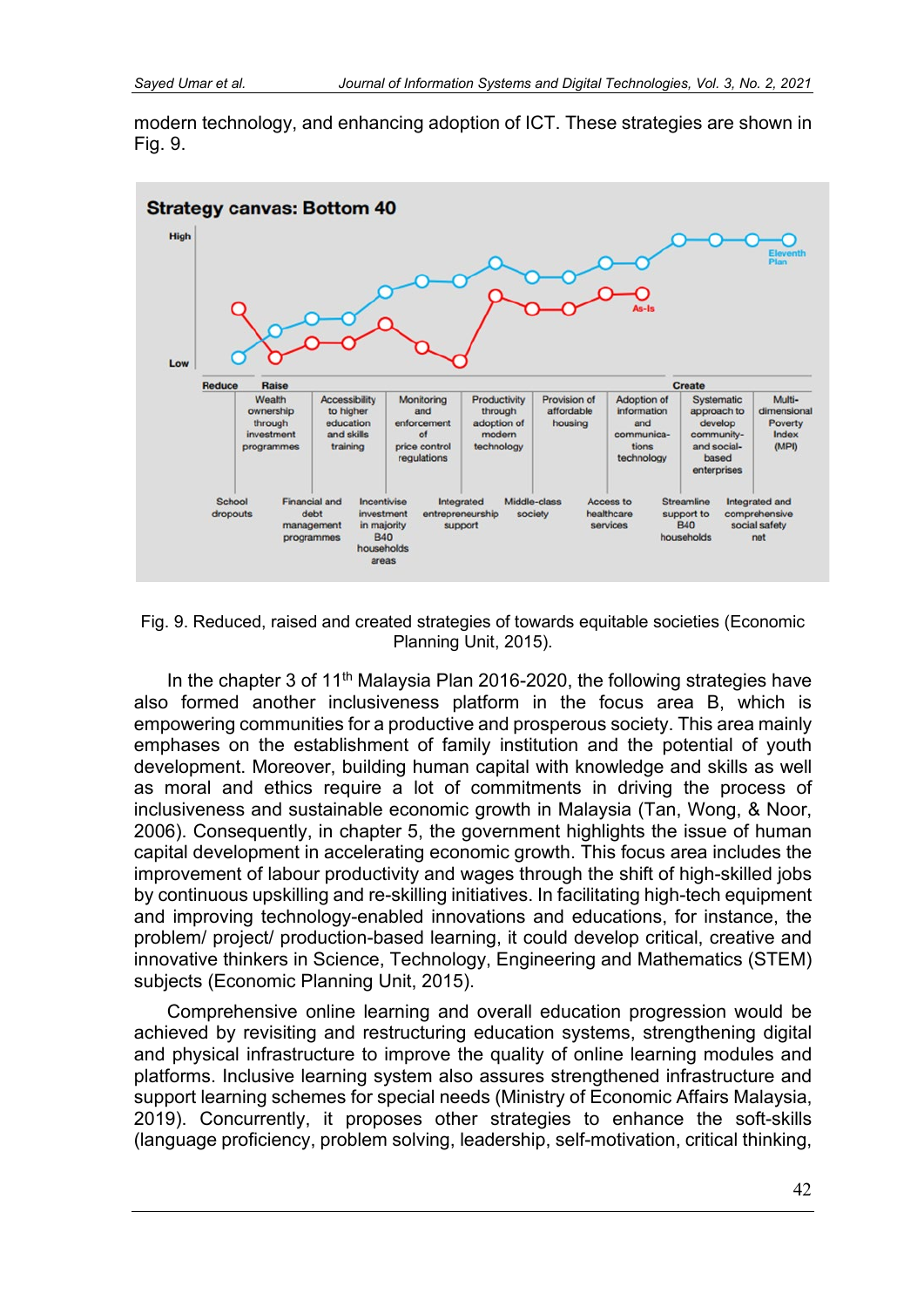modern technology, and enhancing adoption of ICT. These strategies are shown in Fig. 9.

![](_page_13_Figure_3.jpeg)

Fig. 9. Reduced, raised and created strategies of towards equitable societies (Economic Planning Unit, 2015).

In the chapter 3 of 11<sup>th</sup> Malaysia Plan 2016-2020, the following strategies have also formed another inclusiveness platform in the focus area B, which is empowering communities for a productive and prosperous society. This area mainly emphases on the establishment of family institution and the potential of youth development. Moreover, building human capital with knowledge and skills as well as moral and ethics require a lot of commitments in driving the process of inclusiveness and sustainable economic growth in Malaysia (Tan, Wong, & Noor, 2006). Consequently, in chapter 5, the government highlights the issue of human capital development in accelerating economic growth. This focus area includes the improvement of labour productivity and wages through the shift of high-skilled jobs by continuous upskilling and re-skilling initiatives. In facilitating high-tech equipment and improving technology-enabled innovations and educations, for instance, the problem/ project/ production-based learning, it could develop critical, creative and innovative thinkers in Science, Technology, Engineering and Mathematics (STEM) subjects (Economic Planning Unit, 2015).

Comprehensive online learning and overall education progression would be achieved by revisiting and restructuring education systems, strengthening digital and physical infrastructure to improve the quality of online learning modules and platforms. Inclusive learning system also assures strengthened infrastructure and support learning schemes for special needs (Ministry of Economic Affairs Malaysia, 2019). Concurrently, it proposes other strategies to enhance the soft-skills (language proficiency, problem solving, leadership, self-motivation, critical thinking,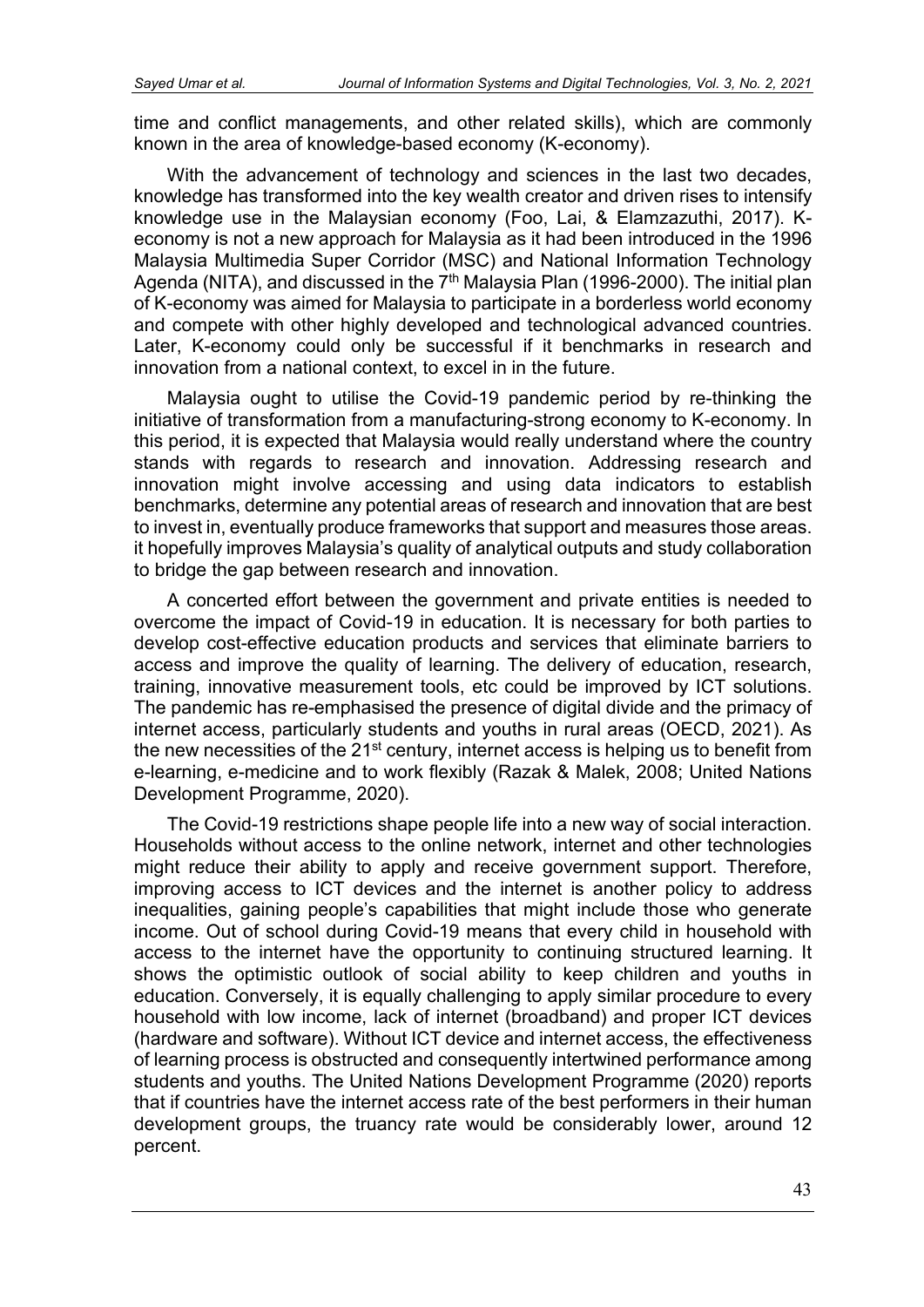time and conflict managements, and other related skills), which are commonly known in the area of knowledge-based economy (K-economy).

With the advancement of technology and sciences in the last two decades, knowledge has transformed into the key wealth creator and driven rises to intensify knowledge use in the Malaysian economy (Foo, Lai, & Elamzazuthi, 2017). Keconomy is not a new approach for Malaysia as it had been introduced in the 1996 Malaysia Multimedia Super Corridor (MSC) and National Information Technology Agenda (NITA), and discussed in the 7<sup>th</sup> Malaysia Plan (1996-2000). The initial plan of K-economy was aimed for Malaysia to participate in a borderless world economy and compete with other highly developed and technological advanced countries. Later, K-economy could only be successful if it benchmarks in research and innovation from a national context, to excel in in the future.

Malaysia ought to utilise the Covid-19 pandemic period by re-thinking the initiative of transformation from a manufacturing-strong economy to K-economy. In this period, it is expected that Malaysia would really understand where the country stands with regards to research and innovation. Addressing research and innovation might involve accessing and using data indicators to establish benchmarks, determine any potential areas of research and innovation that are best to invest in, eventually produce frameworks that support and measures those areas. it hopefully improves Malaysia's quality of analytical outputs and study collaboration to bridge the gap between research and innovation.

A concerted effort between the government and private entities is needed to overcome the impact of Covid-19 in education. It is necessary for both parties to develop cost-effective education products and services that eliminate barriers to access and improve the quality of learning. The delivery of education, research, training, innovative measurement tools, etc could be improved by ICT solutions. The pandemic has re-emphasised the presence of digital divide and the primacy of internet access, particularly students and youths in rural areas (OECD, 2021). As the new necessities of the  $21<sup>st</sup>$  century, internet access is helping us to benefit from e-learning, e-medicine and to work flexibly (Razak & Malek, 2008; United Nations Development Programme, 2020).

The Covid-19 restrictions shape people life into a new way of social interaction. Households without access to the online network, internet and other technologies might reduce their ability to apply and receive government support. Therefore, improving access to ICT devices and the internet is another policy to address inequalities, gaining people's capabilities that might include those who generate income. Out of school during Covid-19 means that every child in household with access to the internet have the opportunity to continuing structured learning. It shows the optimistic outlook of social ability to keep children and youths in education. Conversely, it is equally challenging to apply similar procedure to every household with low income, lack of internet (broadband) and proper ICT devices (hardware and software). Without ICT device and internet access, the effectiveness of learning process is obstructed and consequently intertwined performance among students and youths. The United Nations Development Programme (2020) reports that if countries have the internet access rate of the best performers in their human development groups, the truancy rate would be considerably lower, around 12 percent.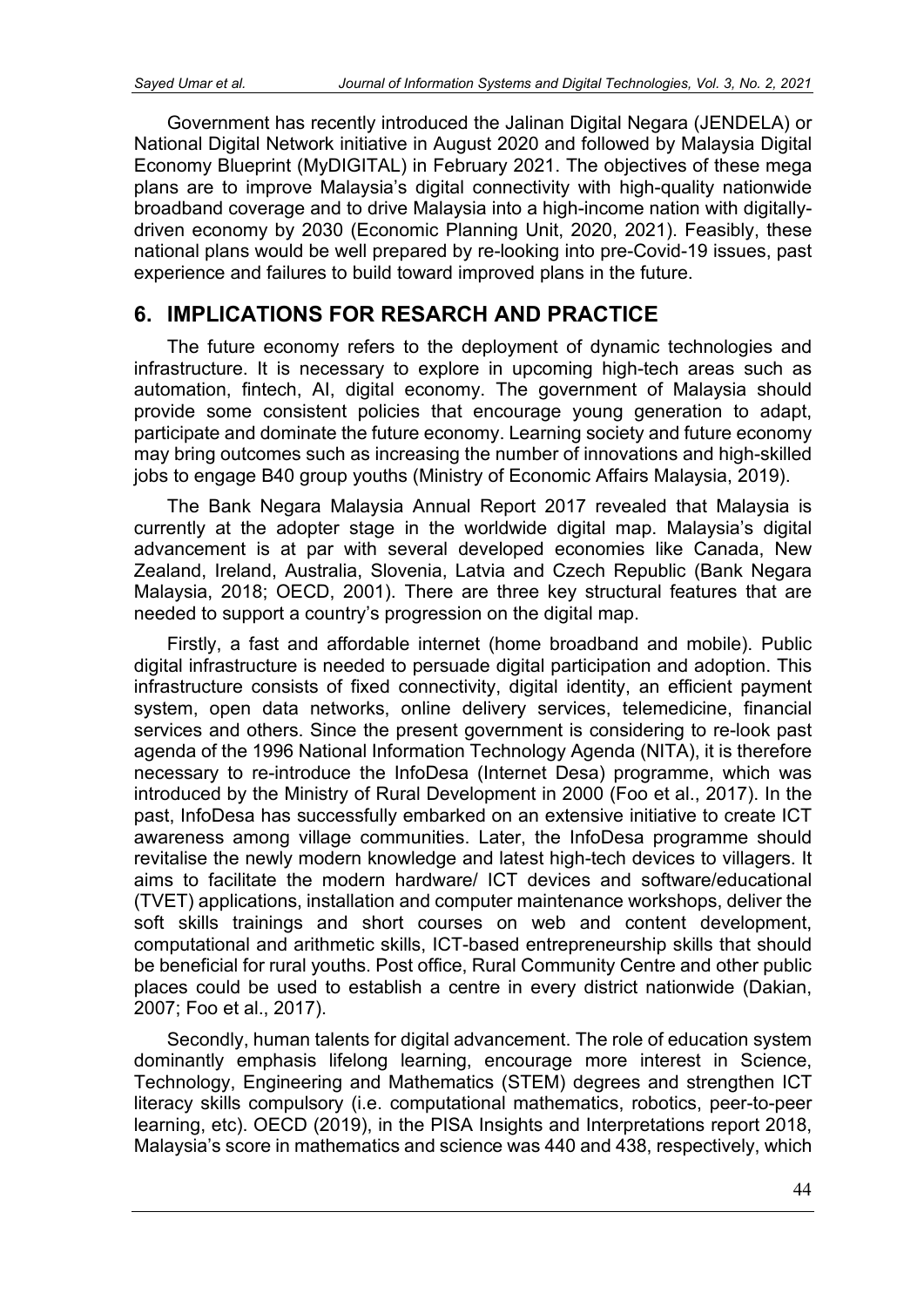Government has recently introduced the Jalinan Digital Negara (JENDELA) or National Digital Network initiative in August 2020 and followed by Malaysia Digital Economy Blueprint (MyDIGITAL) in February 2021. The objectives of these mega plans are to improve Malaysia's digital connectivity with high-quality nationwide broadband coverage and to drive Malaysia into a high-income nation with digitallydriven economy by 2030 (Economic Planning Unit, 2020, 2021). Feasibly, these national plans would be well prepared by re-looking into pre-Covid-19 issues, past experience and failures to build toward improved plans in the future.

# **6. IMPLICATIONS FOR RESARCH AND PRACTICE**

The future economy refers to the deployment of dynamic technologies and infrastructure. It is necessary to explore in upcoming high-tech areas such as automation, fintech, AI, digital economy. The government of Malaysia should provide some consistent policies that encourage young generation to adapt, participate and dominate the future economy. Learning society and future economy may bring outcomes such as increasing the number of innovations and high-skilled jobs to engage B40 group youths (Ministry of Economic Affairs Malaysia, 2019).

The Bank Negara Malaysia Annual Report 2017 revealed that Malaysia is currently at the adopter stage in the worldwide digital map. Malaysia's digital advancement is at par with several developed economies like Canada, New Zealand, Ireland, Australia, Slovenia, Latvia and Czech Republic (Bank Negara Malaysia, 2018; OECD, 2001). There are three key structural features that are needed to support a country's progression on the digital map.

Firstly, a fast and affordable internet (home broadband and mobile). Public digital infrastructure is needed to persuade digital participation and adoption. This infrastructure consists of fixed connectivity, digital identity, an efficient payment system, open data networks, online delivery services, telemedicine, financial services and others. Since the present government is considering to re-look past agenda of the 1996 National Information Technology Agenda (NITA), it is therefore necessary to re-introduce the InfoDesa (Internet Desa) programme, which was introduced by the Ministry of Rural Development in 2000 (Foo et al., 2017). In the past, InfoDesa has successfully embarked on an extensive initiative to create ICT awareness among village communities. Later, the InfoDesa programme should revitalise the newly modern knowledge and latest high-tech devices to villagers. It aims to facilitate the modern hardware/ ICT devices and software/educational (TVET) applications, installation and computer maintenance workshops, deliver the soft skills trainings and short courses on web and content development, computational and arithmetic skills, ICT-based entrepreneurship skills that should be beneficial for rural youths. Post office, Rural Community Centre and other public places could be used to establish a centre in every district nationwide (Dakian, 2007; Foo et al., 2017).

Secondly, human talents for digital advancement. The role of education system dominantly emphasis lifelong learning, encourage more interest in Science, Technology, Engineering and Mathematics (STEM) degrees and strengthen ICT literacy skills compulsory (i.e. computational mathematics, robotics, peer-to-peer learning, etc). OECD (2019), in the PISA Insights and Interpretations report 2018, Malaysia's score in mathematics and science was 440 and 438, respectively, which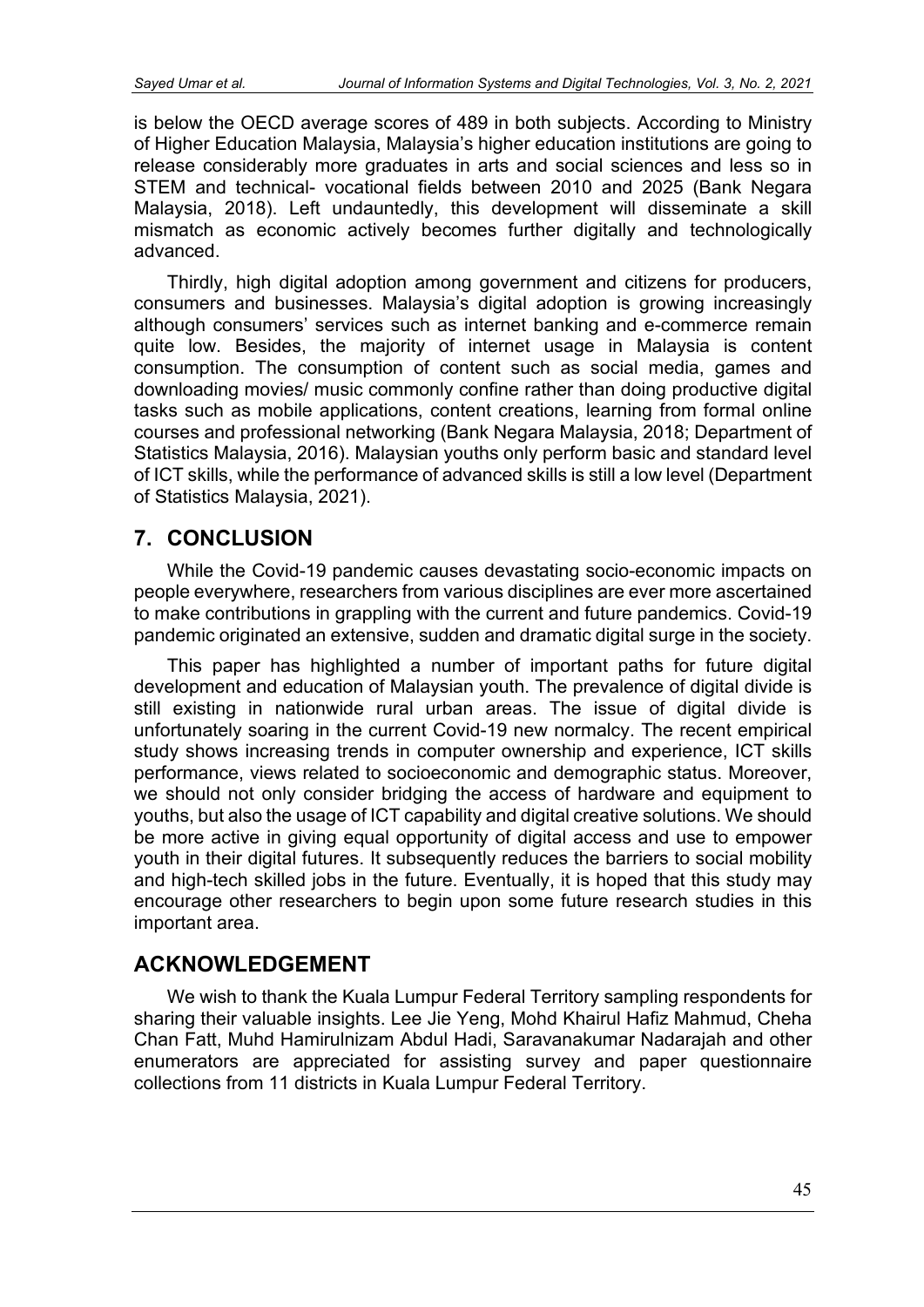is below the OECD average scores of 489 in both subjects. According to Ministry of Higher Education Malaysia, Malaysia's higher education institutions are going to release considerably more graduates in arts and social sciences and less so in STEM and technical- vocational fields between 2010 and 2025 (Bank Negara Malaysia, 2018). Left undauntedly, this development will disseminate a skill mismatch as economic actively becomes further digitally and technologically advanced.

Thirdly, high digital adoption among government and citizens for producers, consumers and businesses. Malaysia's digital adoption is growing increasingly although consumers' services such as internet banking and e-commerce remain quite low. Besides, the majority of internet usage in Malaysia is content consumption. The consumption of content such as social media, games and downloading movies/ music commonly confine rather than doing productive digital tasks such as mobile applications, content creations, learning from formal online courses and professional networking (Bank Negara Malaysia, 2018; Department of Statistics Malaysia, 2016). Malaysian youths only perform basic and standard level of ICT skills, while the performance of advanced skills is still a low level (Department of Statistics Malaysia, 2021).

# **7. CONCLUSION**

While the Covid-19 pandemic causes devastating socio-economic impacts on people everywhere, researchers from various disciplines are ever more ascertained to make contributions in grappling with the current and future pandemics. Covid-19 pandemic originated an extensive, sudden and dramatic digital surge in the society.

This paper has highlighted a number of important paths for future digital development and education of Malaysian youth. The prevalence of digital divide is still existing in nationwide rural urban areas. The issue of digital divide is unfortunately soaring in the current Covid-19 new normalcy. The recent empirical study shows increasing trends in computer ownership and experience, ICT skills performance, views related to socioeconomic and demographic status. Moreover, we should not only consider bridging the access of hardware and equipment to youths, but also the usage of ICT capability and digital creative solutions. We should be more active in giving equal opportunity of digital access and use to empower youth in their digital futures. It subsequently reduces the barriers to social mobility and high-tech skilled jobs in the future. Eventually, it is hoped that this study may encourage other researchers to begin upon some future research studies in this important area.

# **ACKNOWLEDGEMENT**

We wish to thank the Kuala Lumpur Federal Territory sampling respondents for sharing their valuable insights. Lee Jie Yeng, Mohd Khairul Hafiz Mahmud, Cheha Chan Fatt, Muhd Hamirulnizam Abdul Hadi, Saravanakumar Nadarajah and other enumerators are appreciated for assisting survey and paper questionnaire collections from 11 districts in Kuala Lumpur Federal Territory.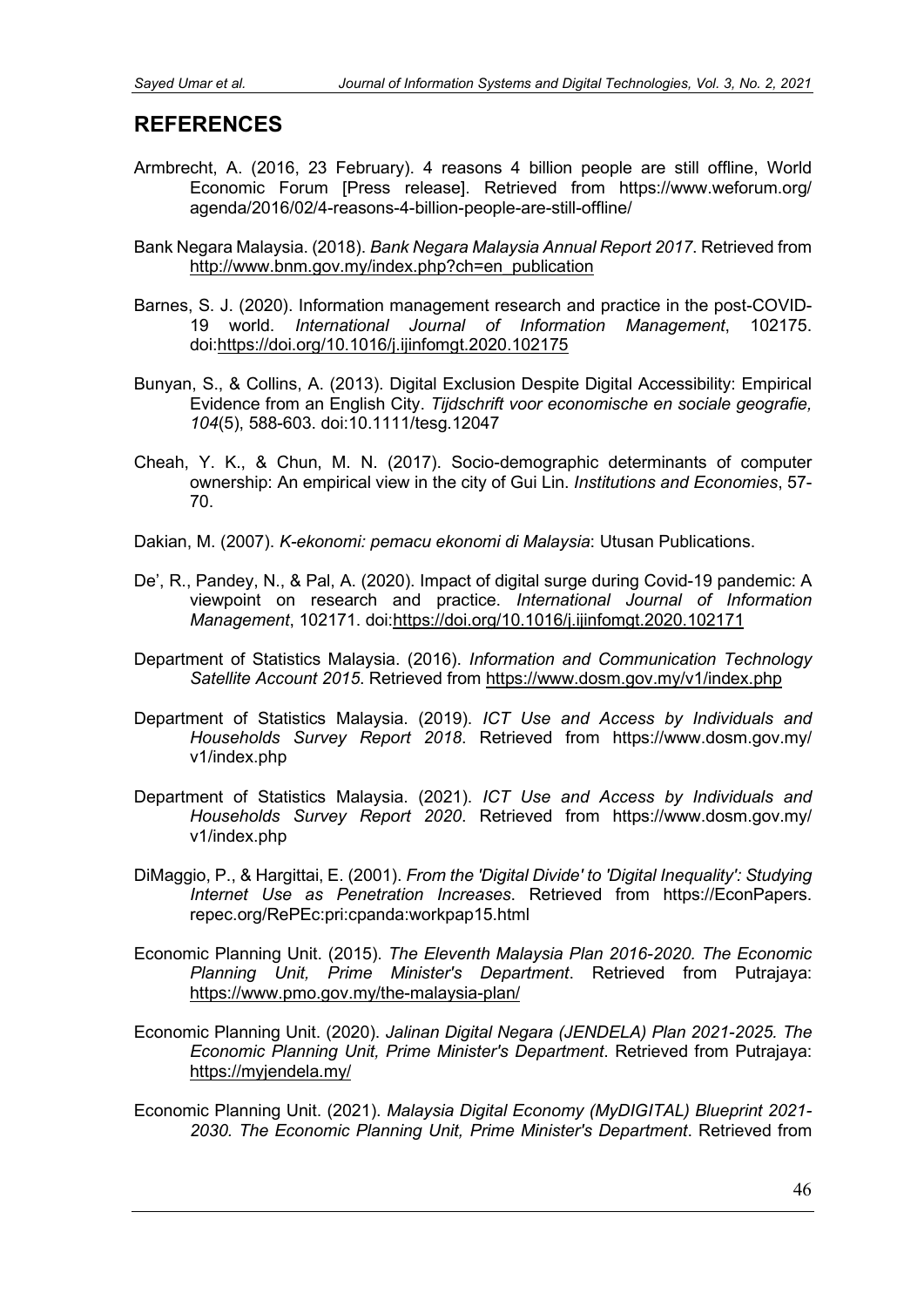#### **REFERENCES**

- Armbrecht, A. (2016, 23 February). 4 reasons 4 billion people are still offline, World Economic Forum [Press release]. Retrieved from https://www.weforum.org/ agenda/2016/02/4-reasons-4-billion-people-are-still-offline/
- Bank Negara Malaysia. (2018). *Bank Negara Malaysia Annual Report 2017*. Retrieved from http://www.bnm.gov.mv/index.php?ch=en\_publication
- Barnes, S. J. (2020). Information management research and practice in the post-COVID-19 world. *International Journal of Information Management*, 102175. doi[:https://doi.org/10.1016/j.ijinfomgt.2020.102175](https://doi.org/10.1016/j.ijinfomgt.2020.102175)
- Bunyan, S., & Collins, A. (2013). Digital Exclusion Despite Digital Accessibility: Empirical Evidence from an English City. *Tijdschrift voor economische en sociale geografie, 104*(5), 588-603. doi:10.1111/tesg.12047
- Cheah, Y. K., & Chun, M. N. (2017). Socio-demographic determinants of computer ownership: An empirical view in the city of Gui Lin. *Institutions and Economies*, 57- 70.
- Dakian, M. (2007). *K-ekonomi: pemacu ekonomi di Malaysia*: Utusan Publications.
- De', R., Pandey, N., & Pal, A. (2020). Impact of digital surge during Covid-19 pandemic: A viewpoint on research and practice. *International Journal of Information Management*, 102171. doi[:https://doi.org/10.1016/j.ijinfomgt.2020.102171](https://doi.org/10.1016/j.ijinfomgt.2020.102171)
- Department of Statistics Malaysia. (2016). *Information and Communication Technology Satellite Account 2015*. Retrieved from<https://www.dosm.gov.my/v1/index.php>
- Department of Statistics Malaysia. (2019). *ICT Use and Access by Individuals and Households Survey Report 2018*. Retrieved from https://www.dosm.gov.my/ v1/index.php
- Department of Statistics Malaysia. (2021). *ICT Use and Access by Individuals and Households Survey Report 2020*. Retrieved from https://www.dosm.gov.my/ v1/index.php
- DiMaggio, P., & Hargittai, E. (2001). *From the 'Digital Divide' to 'Digital Inequality': Studying Internet Use as Penetration Increases*. Retrieved from https://EconPapers. repec.org/RePEc:pri:cpanda:workpap15.html
- Economic Planning Unit. (2015). *The Eleventh Malaysia Plan 2016-2020. The Economic Planning Unit, Prime Minister's Department*. Retrieved from Putrajaya: <https://www.pmo.gov.my/the-malaysia-plan/>
- Economic Planning Unit. (2020). *Jalinan Digital Negara (JENDELA) Plan 2021-2025. The Economic Planning Unit, Prime Minister's Department*. Retrieved from Putrajaya: <https://myjendela.my/>
- Economic Planning Unit. (2021). *Malaysia Digital Economy (MyDIGITAL) Blueprint 2021- 2030. The Economic Planning Unit, Prime Minister's Department*. Retrieved from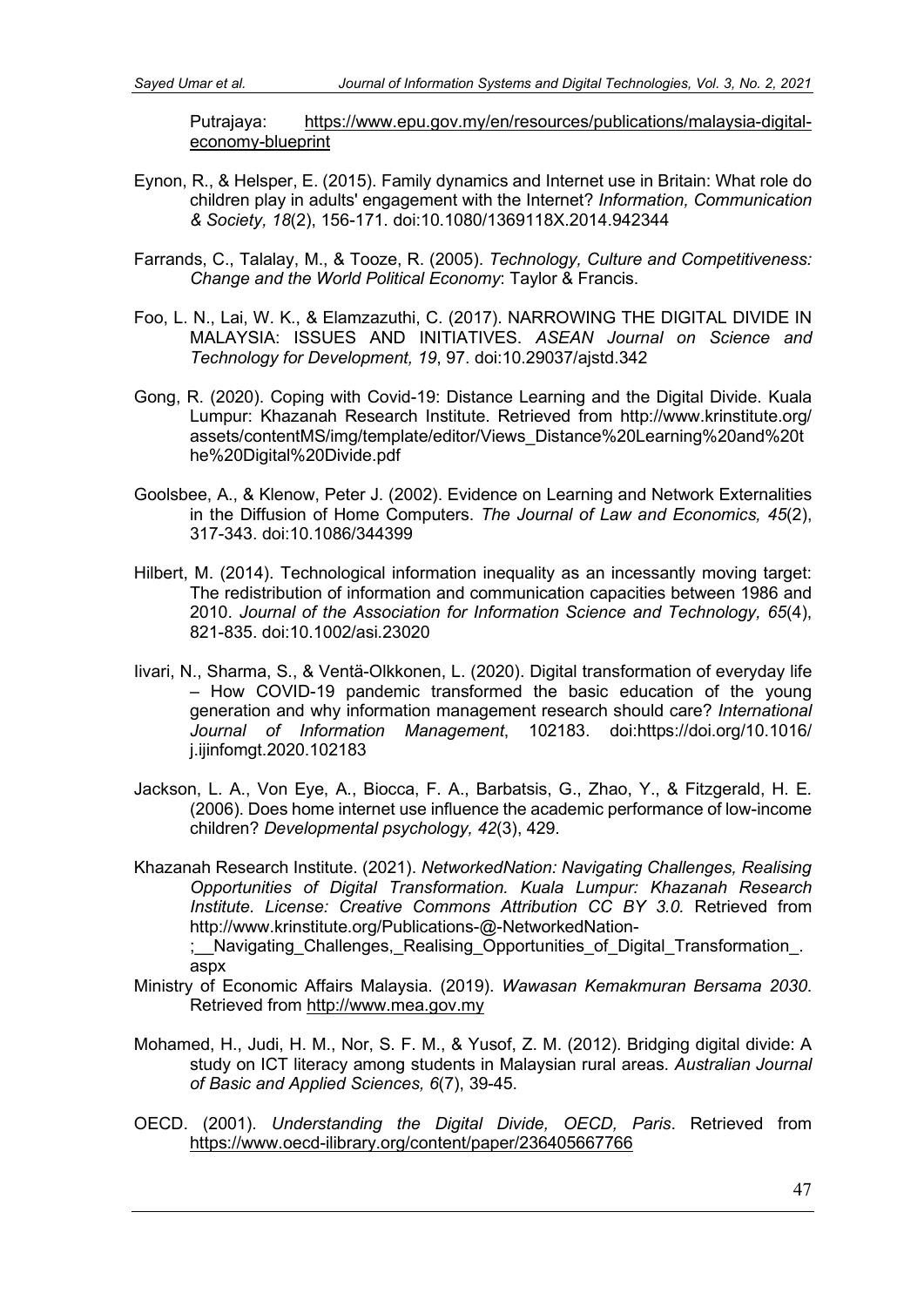Putrajaya: [https://www.epu.gov.my/en/resources/publications/malaysia-digital](https://www.epu.gov.my/en/resources/publications/malaysia-digital-economy-blueprint)[economy-blueprint](https://www.epu.gov.my/en/resources/publications/malaysia-digital-economy-blueprint)

- Eynon, R., & Helsper, E. (2015). Family dynamics and Internet use in Britain: What role do children play in adults' engagement with the Internet? *Information, Communication & Society, 18*(2), 156-171. doi:10.1080/1369118X.2014.942344
- Farrands, C., Talalay, M., & Tooze, R. (2005). *Technology, Culture and Competitiveness: Change and the World Political Economy*: Taylor & Francis.
- Foo, L. N., Lai, W. K., & Elamzazuthi, C. (2017). NARROWING THE DIGITAL DIVIDE IN MALAYSIA: ISSUES AND INITIATIVES. *ASEAN Journal on Science and Technology for Development, 19*, 97. doi:10.29037/ajstd.342
- Gong, R. (2020). Coping with Covid-19: Distance Learning and the Digital Divide. Kuala Lumpur: Khazanah Research Institute. Retrieved from http://www.krinstitute.org/ assets/contentMS/img/template/editor/Views\_Distance%20Learning%20and%20t he%20Digital%20Divide.pdf
- Goolsbee, A., & Klenow, Peter J. (2002). Evidence on Learning and Network Externalities in the Diffusion of Home Computers. *The Journal of Law and Economics, 45*(2), 317-343. doi:10.1086/344399
- Hilbert, M. (2014). Technological information inequality as an incessantly moving target: The redistribution of information and communication capacities between 1986 and 2010. *Journal of the Association for Information Science and Technology, 65*(4), 821-835. doi:10.1002/asi.23020
- Iivari, N., Sharma, S., & Ventä-Olkkonen, L. (2020). Digital transformation of everyday life – How COVID-19 pandemic transformed the basic education of the young generation and why information management research should care? *International Journal of Information Management*, 102183. doi:https://doi.org/10.1016/ j.ijinfomgt.2020.102183
- Jackson, L. A., Von Eye, A., Biocca, F. A., Barbatsis, G., Zhao, Y., & Fitzgerald, H. E. (2006). Does home internet use influence the academic performance of low-income children? *Developmental psychology, 42*(3), 429.
- Khazanah Research Institute. (2021). *NetworkedNation: Navigating Challenges, Realising Opportunities of Digital Transformation. Kuala Lumpur: Khazanah Research Institute. License: Creative Commons Attribution CC BY 3.0.* Retrieved from http://www.krinstitute.org/Publications-@-NetworkedNation-

;\_\_Navigating\_Challenges,\_Realising\_Opportunities\_of\_Digital\_Transformation\_. aspx

- Ministry of Economic Affairs Malaysia. (2019). *Wawasan Kemakmuran Bersama 2030*. Retrieved from [http://www.mea.gov.my](http://www.mea.gov.my/)
- Mohamed, H., Judi, H. M., Nor, S. F. M., & Yusof, Z. M. (2012). Bridging digital divide: A study on ICT literacy among students in Malaysian rural areas. *Australian Journal of Basic and Applied Sciences, 6*(7), 39-45.
- OECD. (2001). *Understanding the Digital Divide, OECD, Paris*. Retrieved from <https://www.oecd-ilibrary.org/content/paper/236405667766>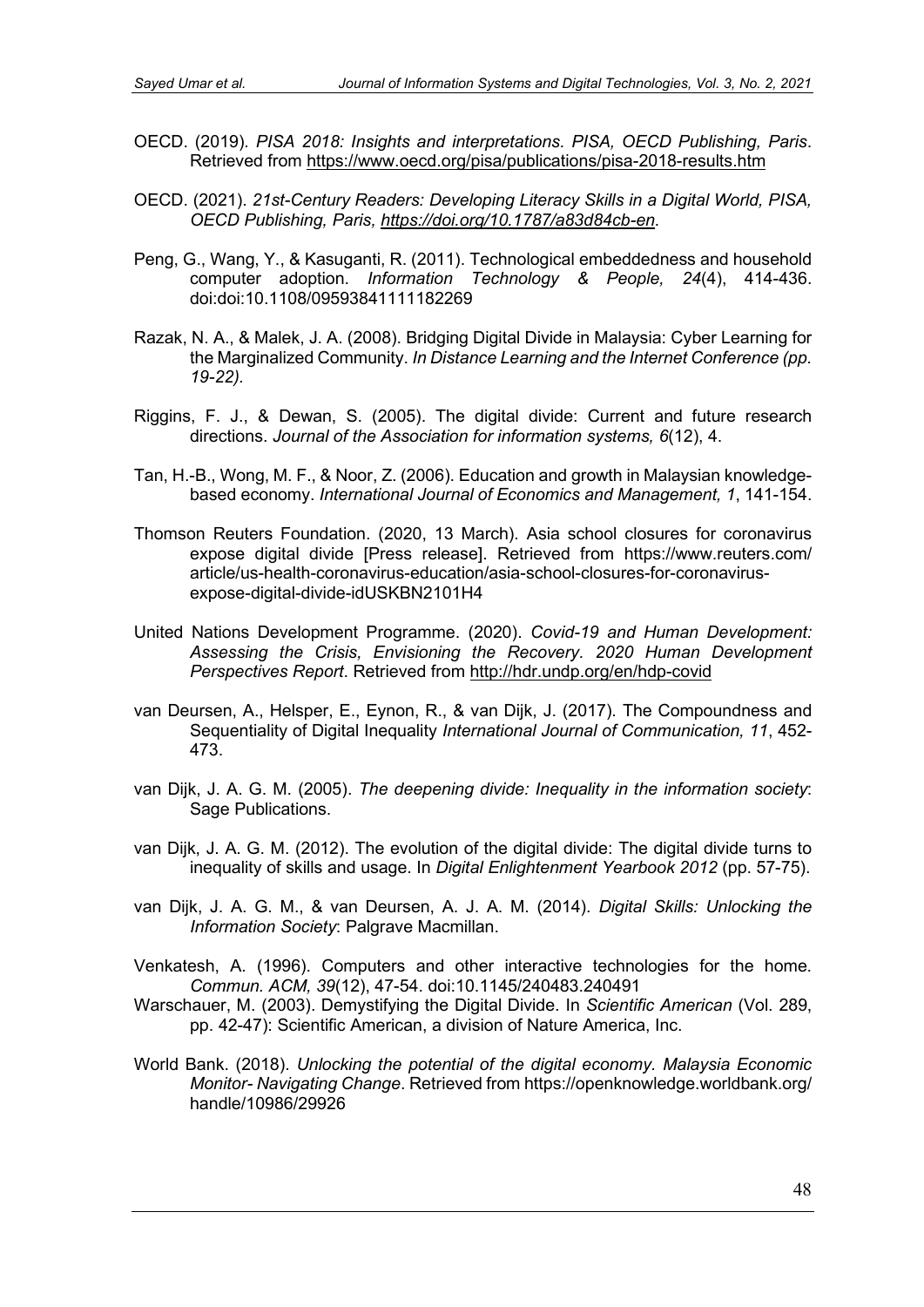- OECD. (2019). *PISA 2018: Insights and interpretations. PISA, OECD Publishing, Paris*. Retrieved from<https://www.oecd.org/pisa/publications/pisa-2018-results.htm>
- OECD. (2021). *21st-Century Readers: Developing Literacy Skills in a Digital World, PISA, OECD Publishing, Paris, [https://doi.org/10.1787/a83d84cb-en.](https://doi.org/10.1787/a83d84cb-en)*
- Peng, G., Wang, Y., & Kasuganti, R. (2011). Technological embeddedness and household computer adoption. *Information Technology & People, 24*(4), 414-436. doi:doi:10.1108/09593841111182269
- Razak, N. A., & Malek, J. A. (2008). Bridging Digital Divide in Malaysia: Cyber Learning for the Marginalized Community. *In Distance Learning and the Internet Conference (pp. 19-22).*
- Riggins, F. J., & Dewan, S. (2005). The digital divide: Current and future research directions. *Journal of the Association for information systems, 6*(12), 4.
- Tan, H.-B., Wong, M. F., & Noor, Z. (2006). Education and growth in Malaysian knowledgebased economy. *International Journal of Economics and Management, 1*, 141-154.
- Thomson Reuters Foundation. (2020, 13 March). Asia school closures for coronavirus expose digital divide [Press release]. Retrieved from https://www.reuters.com/ article/us-health-coronavirus-education/asia-school-closures-for-coronavirusexpose-digital-divide-idUSKBN2101H4
- United Nations Development Programme. (2020). *Covid-19 and Human Development: Assessing the Crisis, Envisioning the Recovery. 2020 Human Development Perspectives Report*. Retrieved from<http://hdr.undp.org/en/hdp-covid>
- van Deursen, A., Helsper, E., Eynon, R., & van Dijk, J. (2017). The Compoundness and Sequentiality of Digital Inequality *International Journal of Communication, 11*, 452- 473.
- van Dijk, J. A. G. M. (2005). *The deepening divide: Inequality in the information society*: Sage Publications.
- van Dijk, J. A. G. M. (2012). The evolution of the digital divide: The digital divide turns to inequality of skills and usage. In *Digital Enlightenment Yearbook 2012* (pp. 57-75).
- van Dijk, J. A. G. M., & van Deursen, A. J. A. M. (2014). *Digital Skills: Unlocking the Information Society*: Palgrave Macmillan.
- Venkatesh, A. (1996). Computers and other interactive technologies for the home. *Commun. ACM, 39*(12), 47-54. doi:10.1145/240483.240491
- Warschauer, M. (2003). Demystifying the Digital Divide. In *Scientific American* (Vol. 289, pp. 42-47): Scientific American, a division of Nature America, Inc.
- World Bank. (2018). *Unlocking the potential of the digital economy. Malaysia Economic Monitor- Navigating Change*. Retrieved from https://openknowledge.worldbank.org/ handle/10986/29926